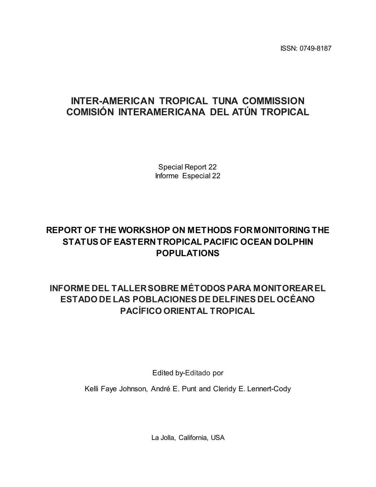ISSN: 0749-8187

# **INTER-AMERICAN TROPICAL TUNA COMMISSION COMISIÓN INTERAMERICANA DEL ATÚN TROPICAL**

Special Report 22 Informe Especial 22

# **REPORT OF THE WORKSHOP ON METHODS FOR MONITORING THE STATUS OF EASTERN TROPICAL PACIFIC OCEAN DOLPHIN POPULATIONS**

# **INFORME DEL TALLER SOBRE MÉTODOS PARA MONITOREAR EL ESTADO DE LAS POBLACIONES DE DELFINES DEL OCÉANO PACÍFICO ORIENTAL TROPICAL**

Edited by-Editado por

Kelli Faye Johnson, André E. Punt and Cleridy E. Lennert-Cody

La Jolla, California, USA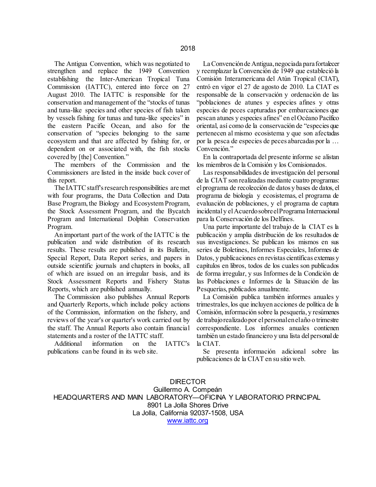The Antigua Convention, which was negotiated to strengthen and replace the 1949 Convention establishing the Inter-American Tropical Tuna Commission (IATTC), entered into force on 27 August 2010. The IATTC is responsible for the conservation and management of the "stocks of tunas and tuna-like species and other species of fish taken by vessels fishing for tunas and tuna-like species" in the eastern Pacific Ocean, and also for the conservation of "species belonging to the same ecosystem and that are affected by fishing for, or dependent on or associated with, the fish stocks covered by [the] Convention."

 The members of the Commission and the Commissioners are listed in the inside back cover of this report.

 The IATTC staff's research responsibilities are met with four programs, the Data Collection and Data Base Program, the Biology and Ecosystem Program, the Stock Assessment Program, and the Bycatch Program and International Dolphin Conservation Program.

 An important part of the work of the IATTC is the publication and wide distribution of its research results. These results are published in its Bulletin, Special Report, Data Report series, and papers in outside scientific journals and chapters in books, all of which are issued on an irregular basis, and its Stock Assessment Reports and Fishery Status Reports, which are published annually.

 The Commission also publishes Annual Reports and Quarterly Reports, which include policy actions of the Commission, information on the fishery, and reviews of the year's or quarter's work carried out by the staff. The Annual Reports also contain financial statements and a roster of the IATTC staff.

 Additional information on the IATTC's publications can be found in its web site.

 La Convención de Antigua, negociada para fortalecer y reemplazar la Convención de 1949 que estableció la Comisión Interamericana del Atún Tropical (CIAT), entró en vigor el 27 de agosto de 2010. La CIAT es responsable de la conservación y ordenación de las "poblaciones de atunes y especies afines y otras especies de peces capturadas por embarcaciones que pescan atunes y especies afines" en el Océano Pacífico oriental, así como de la conservación de "especies que pertenecen al mismo ecosistema y que son afectadas por la pesca de especies de peces abarcadas por la … Convención."

 En la contraportada del presente informe se alistan los miembros de la Comisión y los Comisionados.

 Las responsabilidades de investigación del personal de la CIAT son realizadas mediante cuatro programas: el programa de recolección de datos y bases de datos, el programa de biología y ecosistemas, el programa de evaluación de poblaciones, y el programa de captura incidental y el Acuerdo sobre el Programa Internacional para la Conservación de los Delfines.

 Una parte importante del trabajo de la CIAT es la publicación y amplia distribución de los resultados de sus investigaciones. Se publican los mismos en sus series de Boletines, Informes Especiales, Informes de Datos, y publicaciones en revistas científicas externas y capítulos en libros, todos de los cuales son publicados de forma irregular, y sus Informes de la Condición de las Poblaciones e Informes de la Situación de las Pesquerías, publicados anualmente.

 La Comisión publica también informes anuales y trimestrales, los que incluyen acciones de política de la Comisión, información sobre la pesquería, y resúmenes de trabajo realizado por el personal en el año o trimestre correspondiente. Los informes anuales contienen también un estado financiero y una lista del personal de la CIAT.

 Se presenta información adicional sobre las publicaciones de la CIAT en su sitio web.

DIRECTOR Guillermo A. Compeán HEADQUARTERS AND MAIN LABORATORY—OFICINA Y LABORATORIO PRINCIPAL 8901 La Jolla Shores Drive La Jolla, California 92037-1508, USA [www.iattc.org](http://www.iattc.org/)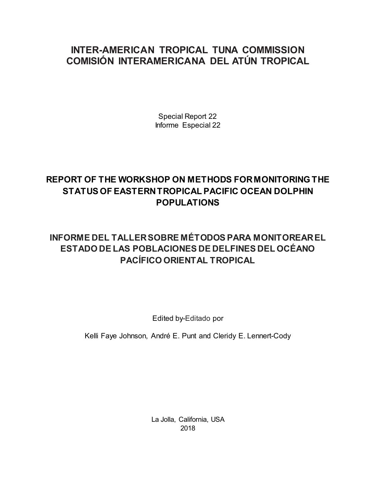# **INTER-AMERICAN TROPICAL TUNA COMMISSION COMISIÓN INTERAMERICANA DEL ATÚN TROPICAL**

Special Report 22 Informe Especial 22

# **REPORT OF THE WORKSHOP ON METHODS FOR MONITORING THE STATUS OF EASTERN TROPICAL PACIFIC OCEAN DOLPHIN POPULATIONS**

# **INFORME DEL TALLER SOBRE MÉTODOS PARA MONITOREAR EL ESTADO DE LAS POBLACIONES DE DELFINES DEL OCÉANO PACÍFICO ORIENTAL TROPICAL**

Edited by-Editado por

Kelli Faye Johnson, André E. Punt and Cleridy E. Lennert-Cody

La Jolla, California, USA 2018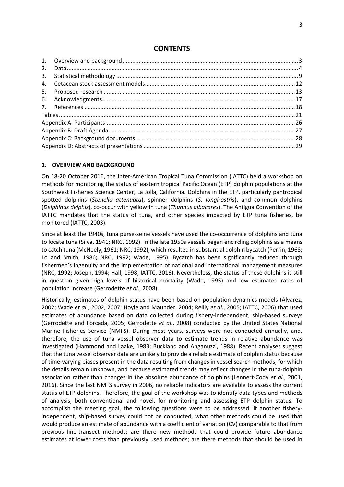# **CONTENTS**

### <span id="page-3-0"></span>**1. OVERVIEW AND BACKGROUND**

On 18-20 October 2016, the Inter-American Tropical Tuna Commission (IATTC) held a workshop on methods for monitoring the status of eastern tropical Pacific Ocean (ETP) dolphin populations at the Southwest Fisheries Science Center, La Jolla, California. Dolphins in the ETP, particularly pantropical spotted dolphins (*Stenella attenuata*), spinner dolphins (*S. longirostris*), and common dolphins (*Delphinus delphis*), co-occur with yellowfin tuna (*Thunnus albacares*). The Antigua Convention of the IATTC mandates that the status of tuna, and other species impacted by ETP tuna fisheries, be monitored (IATTC, 2003).

Since at least the 1940s, tuna purse-seine vessels have used the co-occurrence of dolphins and tuna to locate tuna (Silva, 1941; NRC, 1992). In the late 1950s vessels began encircling dolphins as a means to catch tuna (McNeely, 1961; NRC, 1992), which resulted in substantial dolphin bycatch (Perrin, 1968; Lo and Smith, 1986; NRC, 1992; Wade, 1995). Bycatch has been significantly reduced through fishermen's ingenuity and the implementation of national and international management measures (NRC, 1992; Joseph, 1994; Hall, 1998; IATTC, 2016). Nevertheless, the status of these dolphins is still in question given high levels of historical mortality (Wade, 1995) and low estimated rates of population increase (Gerrodette *et al*., 2008).

Historically, estimates of dolphin status have been based on population dynamics models (Alvarez, 2002; Wade *et al.*, 2002, 2007; Hoyle and Maunder, 2004; Reilly *et al.*, 2005; IATTC, 2006) that used estimates of abundance based on data collected during fishery-independent, ship-based surveys (Gerrodette and Forcada, 2005; Gerrodette *et al.*, 2008) conducted by the United States National Marine Fisheries Service (NMFS). During most years, surveys were not conducted annually, and, therefore, the use of tuna vessel observer data to estimate trends in relative abundance was investigated (Hammond and Laake, 1983; Buckland and Anganuzzi, 1988). Recent analyses suggest that the tuna vessel observer data are unlikely to provide a reliable estimate of dolphin status because of time-varying biases present in the data resulting from changes in vessel search methods, for which the details remain unknown, and because estimated trends may reflect changes in the tuna-dolphin association rather than changes in the absolute abundance of dolphins (Lennert-Cody *et al*., 2001, 2016). Since the last NMFS survey in 2006, no reliable indicators are available to assess the current status of ETP dolphins. Therefore, the goal of the workshop was to identify data types and methods of analysis, both conventional and novel, for monitoring and assessing ETP dolphin status. To accomplish the meeting goal, the following questions were to be addressed: if another fisheryindependent, ship-based survey could not be conducted, what other methods could be used that would produce an estimate of abundance with a coefficient of variation (CV) comparable to that from previous line-transect methods; are there new methods that could provide future abundance estimates at lower costs than previously used methods; are there methods that should be used in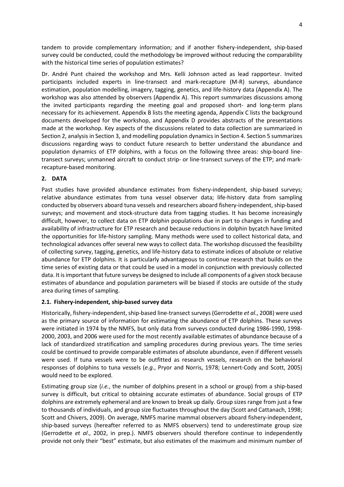tandem to provide complementary information; and if another fishery-independent, ship-based survey could be conducted, could the methodology be improved without reducing the comparability with the historical time series of population estimates?

Dr. André Punt chaired the workshop and Mrs. Kelli Johnson acted as lead rapporteur. Invited participants included experts in line-transect and mark-recapture (M-R) surveys, abundance estimation, population modelling, imagery, tagging, genetics, and life-history data (Appendix A). The workshop was also attended by observers (Appendix A). This report summarizes discussions among the invited participants regarding the meeting goal and proposed short- and long-term plans necessary for its achievement. Appendix B lists the meeting agenda, Appendix C lists the background documents developed for the workshop, and Appendix D provides abstracts of the presentations made at the workshop. Key aspects of the discussions related to data collection are summarized in Section 2, analysis in Section 3, and modelling population dynamics in Section 4. Section 5 summarizes discussions regarding ways to conduct future research to better understand the abundance and population dynamics of ETP dolphins, with a focus on the following three areas: ship-board linetransect surveys; unmanned aircraft to conduct strip- or line-transect surveys of the ETP; and markrecapture-based monitoring.

# <span id="page-4-0"></span>**2. DATA**

Past studies have provided abundance estimates from fishery-independent, ship-based surveys; relative abundance estimates from tuna vessel observer data; life-history data from sampling conducted by observers aboard tuna vessels and researchers aboard fishery-independent, ship-based surveys; and movement and stock-structure data from tagging studies. It has become increasingly difficult, however, to collect data on ETP dolphin populations due in part to changes in funding and availability of infrastructure for ETP research and because reductions in dolphin bycatch have limited the opportunities for life-history sampling. Many methods were used to collect historical data, and technological advances offer several new ways to collect data. The workshop discussed the feasibility of collecting survey, tagging, genetics, and life-history data to estimate indices of absolute or relative abundance for ETP dolphins. It is particularly advantageous to continue research that builds on the time series of existing data or that could be used in a model in conjunction with previously collected data. It is important that future surveys be designed to include all components of a given stock because estimates of abundance and population parameters will be biased if stocks are outside of the study area during times of sampling.

# **2.1. Fishery-independent, ship-based survey data**

Historically, fishery-independent, ship-based line-transect surveys (Gerrodette *et al*., 2008) were used as the primary source of information for estimating the abundance of ETP dolphins. These surveys were initiated in 1974 by the NMFS, but only data from surveys conducted during 1986-1990, 1998- 2000, 2003, and 2006 were used for the most recently available estimates of abundance because of a lack of standardized stratification and sampling procedures during previous years. The time series could be continued to provide comparable estimates of absolute abundance, even if different vessels were used. If tuna vessels were to be outfitted as research vessels, research on the behavioral responses of dolphins to tuna vessels (*e.g.*, Pryor and Norris, 1978; Lennert-Cody and Scott, 2005) would need to be explored.

Estimating group size (*i.e.*, the number of dolphins present in a school or group) from a ship-based survey is difficult, but critical to obtaining accurate estimates of abundance. Social groups of ETP dolphins are extremely ephemeral and are known to break up daily. Group sizes range from just a few to thousands of individuals, and group size fluctuates throughout the day (Scott and Cattanach, 1998; Scott and Chivers, 2009). On average, NMFS marine mammal observers aboard fishery-independent, ship-based surveys (hereafter referred to as NMFS observers) tend to underestimate group size (Gerrodette *et al*., 2002, in prep.). NMFS observers should therefore continue to independently provide not only their "best" estimate, but also estimates of the maximum and minimum number of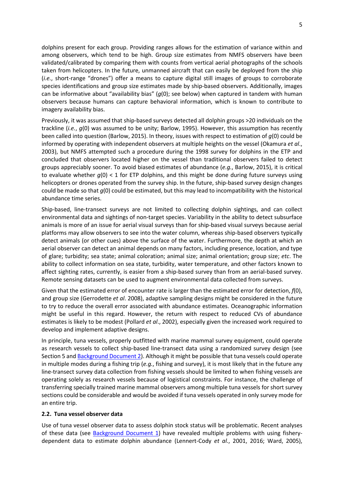dolphins present for each group. Providing ranges allows for the estimation of variance within and among observers, which tend to be high. Group size estimates from NMFS observers have been validated/calibrated by comparing them with counts from vertical aerial photographs of the schools taken from helicopters. In the future, unmanned aircraft that can easily be deployed from the ship (*i.e.*, short-range "drones") offer a means to capture digital still images of groups to corroborate species identifications and group size estimates made by ship-based observers. Additionally, images can be informative about "availability bias" (*g*(0); see below) when captured in tandem with human observers because humans can capture behavioral information, which is known to contribute to imagery availability bias.

Previously, it was assumed that ship-based surveys detected all dolphin groups >20 individuals on the trackline (*i.e.*, *g*(0) was assumed to be unity; Barlow, 1995). However, this assumption has recently been called into question (Barlow, 2015). In theory, issues with respect to estimation of *g*(0) could be informed by operating with independent observers at multiple heights on the vessel (Okamura *et al*., 2003), but NMFS attempted such a procedure during the 1998 survey for dolphins in the ETP and concluded that observers located higher on the vessel than traditional observers failed to detect groups appreciably sooner. To avoid biased estimates of abundance (*e.g.*, Barlow, 2015), it is critical to evaluate whether *g*(0) < 1 for ETP dolphins, and this might be done during future surveys using helicopters or drones operated from the survey ship. In the future, ship-based survey design changes could be made so that *g*(0) could be estimated, but this may lead to incompatibility with the historical abundance time series.

Ship-based, line-transect surveys are not limited to collecting dolphin sightings, and can collect environmental data and sightings of non-target species. Variability in the ability to detect subsurface animals is more of an issue for aerial visual surveys than for ship-based visual surveys because aerial platforms may allow observers to see into the water column, whereas ship-based observers typically detect animals (or other cues) above the surface of the water. Furthermore, the depth at which an aerial observer can detect an animal depends on many factors, including presence, location, and type of glare; turbidity; sea state; animal coloration; animal size; animal orientation; group size; *etc*. The ability to collect information on sea state, turbidity, water temperature, and other factors known to affect sighting rates, currently, is easier from a ship-based survey than from an aerial-based survey. Remote sensing datasets can be used to augment environmental data collected from surveys.

Given that the estimated error of encounter rate is larger than the estimated error for detection, *f*(0), and group size (Gerrodette *et al*. 2008), adaptive sampling designs might be considered in the future to try to reduce the overall error associated with abundance estimates. Oceanographic information might be useful in this regard. However, the return with respect to reduced CVs of abundance estimates is likely to be modest (Pollard *et al*., 2002), especially given the increased work required to develop and implement adaptive designs.

In principle, tuna vessels, properly outfitted with marine mammal survey equipment, could operate as research vessels to collect ship-based line-transect data using a randomized survey design (see Section 5 and [Background Document 2\)](http://www.iattc.org/Meetings/Meetings2016/DEL-01/PDFs/_English/DEL-01_Review-of-potential-methodologies-for-estimating-abundance-of-dolphin-stocks-in-the-Eastern-Tropical-Pacific-Ocean.pdf). Although it might be possible that tuna vessels could operate in multiple modes during a fishing trip (*e.g.*, fishing and survey), it is most likely that in the future any line-transect survey data collection from fishing vessels should be limited to when fishing vessels are operating solely as research vessels because of logistical constraints. For instance, the challenge of transferring specially trained marine mammal observers among multiple tuna vessels for short survey sections could be considerable and would be avoided if tuna vessels operated in only survey mode for an entire trip.

## **2.2. Tuna vessel observer data**

Use of tuna vessel observer data to assess dolphin stock status will be problematic. Recent analyses of these data (see [Background Document 1\) h](#page-28-1)ave revealed multiple problems with using fisherydependent data to estimate dolphin abundance (Lennert-Cody *et al*., 2001, 2016; Ward, 2005),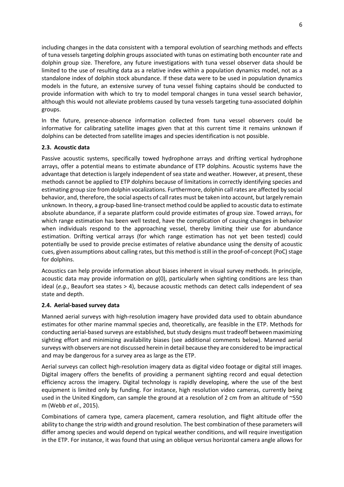including changes in the data consistent with a temporal evolution of searching methods and effects of tuna vessels targeting dolphin groups associated with tunas on estimating both encounter rate and dolphin group size. Therefore, any future investigations with tuna vessel observer data should be limited to the use of resulting data as a relative index within a population dynamics model, not as a standalone index of dolphin stock abundance. If these data were to be used in population dynamics models in the future, an extensive survey of tuna vessel fishing captains should be conducted to provide information with which to try to model temporal changes in tuna vessel search behavior, although this would not alleviate problems caused by tuna vessels targeting tuna-associated dolphin groups.

In the future, presence-absence information collected from tuna vessel observers could be informative for calibrating satellite images given that at this current time it remains unknown if dolphins can be detected from satellite images and species identification is not possible.

# **2.3. Acoustic data**

Passive acoustic systems, specifically towed hydrophone arrays and drifting vertical hydrophone arrays, offer a potential means to estimate abundance of ETP dolphins. Acoustic systems have the advantage that detection is largely independent of sea state and weather. However, at present, these methods cannot be applied to ETP dolphins because of limitations in correctly identifying species and estimating group size from dolphin vocalizations. Furthermore, dolphin call rates are affected by social behavior, and, therefore, the social aspects of call rates must be taken into account, but largely remain unknown. In theory, a group-based line-transect method could be applied to acoustic data to estimate absolute abundance, if a separate platform could provide estimates of group size. Towed arrays, for which range estimation has been well tested, have the complication of causing changes in behavior when individuals respond to the approaching vessel, thereby limiting their use for abundance estimation. Drifting vertical arrays (for which range estimation has not yet been tested) could potentially be used to provide precise estimates of relative abundance using the density of acoustic cues, given assumptions about calling rates, but this method is still in the proof-of-concept (PoC) stage for dolphins.

Acoustics can help provide information about biases inherent in visual survey methods. In principle, acoustic data may provide information on *g*(0), particularly when sighting conditions are less than ideal (*e.g.*, Beaufort sea states > 4), because acoustic methods can detect calls independent of sea state and depth.

## **2.4. Aerial-based survey data**

Manned aerial surveys with high-resolution imagery have provided data used to obtain abundance estimates for other marine mammal species and, theoretically, are feasible in the ETP. Methods for conducting aerial-based surveys are established, but study designs must tradeoff between maximizing sighting effort and minimizing availability biases (see additional comments below). Manned aerial surveys with observers are not discussed herein in detail because they are considered to be impractical and may be dangerous for a survey area as large as the ETP.

Aerial surveys can collect high-resolution imagery data as digital video footage or digital still images. Digital imagery offers the benefits of providing a permanent sighting record and equal detection efficiency across the imagery. Digital technology is rapidly developing, where the use of the best equipment is limited only by funding. For instance, high resolution video cameras, currently being used in the United Kingdom, can sample the ground at a resolution of 2 cm from an altitude of ~550 m (Webb *et al*., 2015).

Combinations of camera type, camera placement, camera resolution, and flight altitude offer the ability to change the strip width and ground resolution. The best combination of these parameters will differ among species and would depend on typical weather conditions, and will require investigation in the ETP. For instance, it was found that using an oblique versus horizontal camera angle allows for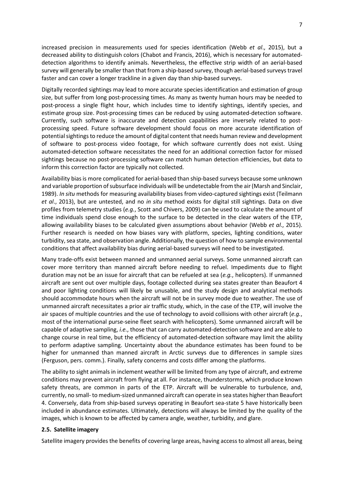increased precision in measurements used for species identification (Webb *et al*., 2015), but a decreased ability to distinguish colors (Chabot and Francis, 2016), which is necessary for automateddetection algorithms to identify animals. Nevertheless, the effective strip width of an aerial-based survey will generally be smaller than that from a ship-based survey, though aerial-based surveys travel faster and can cover a longer trackline in a given day than ship-based surveys.

Digitally recorded sightings may lead to more accurate species identification and estimation of group size, but suffer from long post-processing times. As many as twenty human hours may be needed to post-process a single flight hour, which includes time to identify sightings, identify species, and estimate group size. Post-processing times can be reduced by using automated-detection software. Currently, such software is inaccurate and detection capabilities are inversely related to postprocessing speed. Future software development should focus on more accurate identification of potential sightings to reduce the amount of digital content that needs human review and development of software to post-process video footage, for which software currently does not exist. Using automated-detection software necessitates the need for an additional correction factor for missed sightings because no post-processing software can match human detection efficiencies, but data to inform this correction factor are typically not collected.

Availability bias is more complicated for aerial-based than ship-based surveys because some unknown and variable proportion of subsurface individuals will be undetectable from the air(Marsh and Sinclair, 1989). *In situ* methods for measuring availability biases from video-captured sightings exist (Teilmann *et al*., 2013), but are untested, and no *in situ* method exists for digital still sightings. Data on dive profiles from telemetry studies (*e.g.*, Scott and Chivers, 2009) can be used to calculate the amount of time individuals spend close enough to the surface to be detected in the clear waters of the ETP, allowing availability biases to be calculated given assumptions about behavior (Webb *et al*., 2015). Further research is needed on how biases vary with platform, species, lighting conditions, water turbidity, sea state, and observation angle. Additionally, the question of how to sample environmental conditions that affect availability bias during aerial-based surveys will need to be investigated.

Many trade-offs exist between manned and unmanned aerial surveys. Some unmanned aircraft can cover more territory than manned aircraft before needing to refuel. Impediments due to flight duration may not be an issue for aircraft that can be refueled at sea (*e.g.*, helicopters). If unmanned aircraft are sent out over multiple days, footage collected during sea states greater than Beaufort 4 and poor lighting conditions will likely be unusable, and the study design and analytical methods should accommodate hours when the aircraft will not be in survey mode due to weather. The use of unmanned aircraft necessitates a prior air traffic study, which, in the case of the ETP, will involve the air spaces of multiple countries and the use of technology to avoid collisions with other aircraft (*e.g.*, most of the international purse-seine fleet search with helicopters). Some unmanned aircraft will be capable of adaptive sampling, *i.e.*, those that can carry automated-detection software and are able to change course in real time, but the efficiency of automated-detection software may limit the ability to perform adaptive sampling. Uncertainty about the abundance estimates has been found to be higher for unmanned than manned aircraft in Arctic surveys due to differences in sample sizes (Ferguson, pers. comm.). Finally, safety concerns and costs differ among the platforms.

The ability to sight animals in inclement weather will be limited from any type of aircraft, and extreme conditions may prevent aircraft from flying at all. For instance, thunderstorms, which produce known safety threats, are common in parts of the ETP. Aircraft will be vulnerable to turbulence, and, currently, no small- to medium-sized unmanned aircraft can operate in sea states higher than Beaufort 4. Conversely, data from ship-based surveys operating in Beaufort sea-state 5 have historically been included in abundance estimates. Ultimately, detections will always be limited by the quality of the images, which is known to be affected by camera angle, weather, turbidity, and glare.

## **2.5. Satellite imagery**

Satellite imagery provides the benefits of covering large areas, having access to almost all areas, being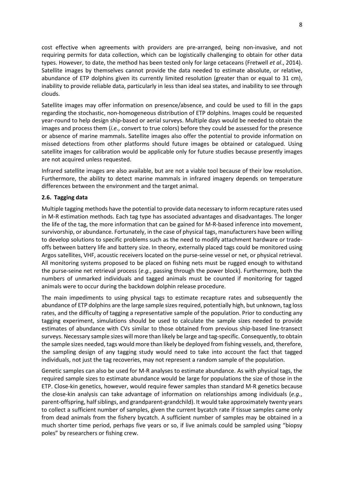cost effective when agreements with providers are pre-arranged, being non-invasive, and not requiring permits for data collection, which can be logistically challenging to obtain for other data types. However, to date, the method has been tested only for large cetaceans (Fretwell *et al*., 2014). Satellite images by themselves cannot provide the data needed to estimate absolute, or relative, abundance of ETP dolphins given its currently limited resolution (greater than or equal to 31 cm), inability to provide reliable data, particularly in less than ideal sea states, and inability to see through clouds.

Satellite images may offer information on presence/absence, and could be used to fill in the gaps regarding the stochastic, non-homogeneous distribution of ETP dolphins. Images could be requested year-round to help design ship-based or aerial surveys. Multiple days would be needed to obtain the images and process them (*i.e.*, convert to true colors) before they could be assessed for the presence or absence of marine mammals. Satellite images also offer the potential to provide information on missed detections from other platforms should future images be obtained or catalogued. Using satellite images for calibration would be applicable only for future studies because presently images are not acquired unless requested.

Infrared satellite images are also available, but are not a viable tool because of their low resolution. Furthermore, the ability to detect marine mammals in infrared imagery depends on temperature differences between the environment and the target animal.

## **2.6. Tagging data**

Multiple tagging methods have the potential to provide data necessary to inform recapture rates used in M-R estimation methods. Each tag type has associated advantages and disadvantages. The longer the life of the tag, the more information that can be gained for M-R-based inference into movement, survivorship, or abundance. Fortunately, in the case of physical tags, manufacturers have been willing to develop solutions to specific problems such as the need to modify attachment hardware or tradeoffs between battery life and battery size. In theory, externally placed tags could be monitored using Argos satellites, VHF, acoustic receivers located on the purse-seine vessel or net, or physical retrieval. All monitoring systems proposed to be placed on fishing nets must be rugged enough to withstand the purse-seine net retrieval process (*e.g.*, passing through the power block). Furthermore, both the numbers of unmarked individuals and tagged animals must be counted if monitoring for tagged animals were to occur during the backdown dolphin release procedure.

The main impediments to using physical tags to estimate recapture rates and subsequently the abundance of ETP dolphins are the large sample sizes required, potentially high, but unknown, tag loss rates, and the difficulty of tagging a representative sample of the population. Prior to conducting any tagging experiment, simulations should be used to calculate the sample sizes needed to provide estimates of abundance with CVs similar to those obtained from previous ship-based line-transect surveys. Necessary sample sizes will more than likely be large and tag-specific. Consequently, to obtain the sample sizes needed, tags would more than likely be deployed from fishing vessels, and, therefore, the sampling design of any tagging study would need to take into account the fact that tagged individuals, not just the tag recoveries, may not represent a random sample of the population.

Genetic samples can also be used for M-R analyses to estimate abundance. As with physical tags, the required sample sizes to estimate abundance would be large for populations the size of those in the ETP. Close-kin genetics, however, would require fewer samples than standard M-R genetics because the close-kin analysis can take advantage of information on relationships among individuals (*e.g.*, parent-offspring, half siblings, and grandparent-grandchild). It would take approximately twenty years to collect a sufficient number of samples, given the current bycatch rate if tissue samples came only from dead animals from the fishery bycatch. A sufficient number of samples may be obtained in a much shorter time period, perhaps five years or so, if live animals could be sampled using "biopsy poles" by researchers or fishing crew.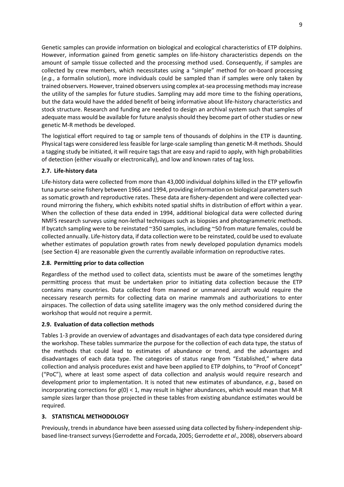Genetic samples can provide information on biological and ecological characteristics of ETP dolphins. However, information gained from genetic samples on life-history characteristics depends on the amount of sample tissue collected and the processing method used. Consequently, if samples are collected by crew members, which necessitates using a "simple" method for on-board processing (*e.g.*, a formalin solution), more individuals could be sampled than if samples were only taken by trained observers. However, trained observers using complex at-sea processing methods may increase the utility of the samples for future studies. Sampling may add more time to the fishing operations, but the data would have the added benefit of being informative about life-history characteristics and stock structure. Research and funding are needed to design an archival system such that samples of adequate mass would be available for future analysis should they become part of other studies or new genetic M-R methods be developed.

The logistical effort required to tag or sample tens of thousands of dolphins in the ETP is daunting. Physical tags were considered less feasible for large-scale sampling than genetic M-R methods. Should a tagging study be initiated, it will require tags that are easy and rapid to apply, with high probabilities of detection (either visually or electronically), and low and known rates of tag loss.

# **2.7. Life-history data**

Life-history data were collected from more than 43,000 individual dolphins killed in the ETP yellowfin tuna purse-seine fishery between 1966 and 1994, providing information on biological parameters such as somatic growth and reproductive rates. These data are fishery-dependent and were collected yearround mirroring the fishery, which exhibits noted spatial shifts in distribution of effort within a year. When the collection of these data ended in 1994, additional biological data were collected during NMFS research surveys using non-lethal techniques such as biopsies and photogrammetric methods. If bycatch sampling were to be reinstated ~350 samples, including ~50 from mature females, could be collected annually. Life-history data, if data collection were to be reinstated, could be used to evaluate whether estimates of population growth rates from newly developed population dynamics models (see Section 4) are reasonable given the currently available information on reproductive rates.

# **2.8. Permitting prior to data collection**

Regardless of the method used to collect data, scientists must be aware of the sometimes lengthy permitting process that must be undertaken prior to initiating data collection because the ETP contains many countries. Data collected from manned or unmanned aircraft would require the necessary research permits for collecting data on marine mammals and authorizations to enter airspaces. The collection of data using satellite imagery was the only method considered during the workshop that would not require a permit.

# **2.9. Evaluation of data collection methods**

Tables 1-3 provide an overview of advantages and disadvantages of each data type considered during the workshop. These tables summarize the purpose for the collection of each data type, the status of the methods that could lead to estimates of abundance or trend, and the advantages and disadvantages of each data type. The categories of status range from "Established," where data collection and analysis procedures exist and have been applied to ETP dolphins, to "Proof of Concept" ("PoC"), where at least some aspect of data collection and analysis would require research and development prior to implementation. It is noted that new estimates of abundance, *e.g.*, based on incorporating corrections for *g*(0) < 1, may result in higher abundances, which would mean that M-R sample sizes larger than those projected in these tables from existing abundance estimates would be required.

# <span id="page-9-0"></span>**3. STATISTICAL METHODOLOGY**

Previously, trends in abundance have been assessed using data collected by fishery-independent shipbased line-transect surveys (Gerrodette and Forcada, 2005; Gerrodette *et al*., 2008), observers aboard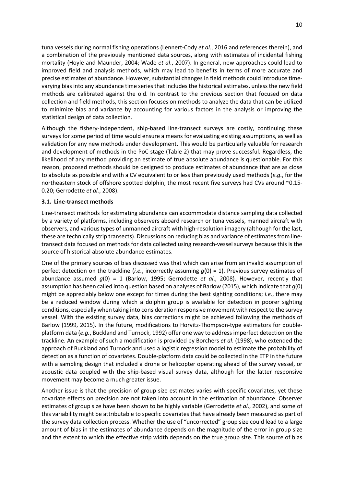tuna vessels during normal fishing operations (Lennert-Cody *et al*., 2016 and references therein), and a combination of the previously mentioned data sources, along with estimates of incidental fishing mortality (Hoyle and Maunder, 2004; Wade *et al*., 2007). In general, new approaches could lead to improved field and analysis methods, which may lead to benefits in terms of more accurate and precise estimates of abundance. However, substantial changes in field methods could introduce timevarying bias into any abundance time series that includes the historical estimates, unless the new field methods are calibrated against the old. In contrast to the previous section that focused on data collection and field methods, this section focuses on methods to analyze the data that can be utilized to minimize bias and variance by accounting for various factors in the analysis or improving the statistical design of data collection.

Although the fishery-independent, ship-based line-transect surveys are costly, continuing these surveys for some period of time would ensure a means for evaluating existing assumptions, as well as validation for any new methods under development. This would be particularly valuable for research and development of methods in the PoC stage (Table 2) that may prove successful. Regardless, the likelihood of any method providing an estimate of true absolute abundance is questionable. For this reason, proposed methods should be designed to produce estimates of abundance that are as close to absolute as possible and with a CV equivalent to or less than previously used methods (*e.g.*, for the northeastern stock of offshore spotted dolphin, the most recent five surveys had CVs around ~0.15-0.20; Gerrodette *et al.*, 2008).

# **3.1. Line-transect methods**

Line-transect methods for estimating abundance can accommodate distance sampling data collected by a variety of platforms, including observers aboard research or tuna vessels, manned aircraft with observers, and various types of unmanned aircraft with high-resolution imagery (although for the last, these are technically strip transects). Discussions on reducing bias and variance of estimates from linetransect data focused on methods for data collected using research-vessel surveys because this is the source of historical absolute abundance estimates.

One of the primary sources of bias discussed was that which can arise from an invalid assumption of perfect detection on the trackline (*i.e.*, incorrectly assuming  $q(0) = 1$ ). Previous survey estimates of abundance assumed *g*(0) = 1 (Barlow, 1995; Gerrodette *et al*., 2008). However, recently that assumption has been called into question based on analyses of Barlow (2015), which indicate that *g*(0) might be appreciably below one except for times during the best sighting conditions; *i.e.*, there may be a reduced window during which a dolphin group is available for detection in poorer sighting conditions, especially when taking into consideration responsive movement with respect to the survey vessel. With the existing survey data, bias corrections might be achieved following the methods of Barlow (1999, 2015). In the future, modifications to Horvitz-Thompson-type estimators for doubleplatform data (*e.g.*, Buckland and Turnock, 1992) offer one way to address imperfect detection on the trackline. An example of such a modification is provided by Borchers *et al*. (1998), who extended the approach of Buckland and Turnock and used a logistic regression model to estimate the probability of detection as a function of covariates. Double-platform data could be collected in the ETP in the future with a sampling design that included a drone or helicopter operating ahead of the survey vessel, or acoustic data coupled with the ship-based visual survey data, although for the latter responsive movement may become a much greater issue.

Another issue is that the precision of group size estimates varies with specific covariates, yet these covariate effects on precision are not taken into account in the estimation of abundance. Observer estimates of group size have been shown to be highly variable (Gerrodette *et al*., 2002), and some of this variability might be attributable to specific covariates that have already been measured as part of the survey data collection process. Whether the use of "uncorrected" group size could lead to a large amount of bias in the estimates of abundance depends on the magnitude of the error in group size and the extent to which the effective strip width depends on the true group size. This source of bias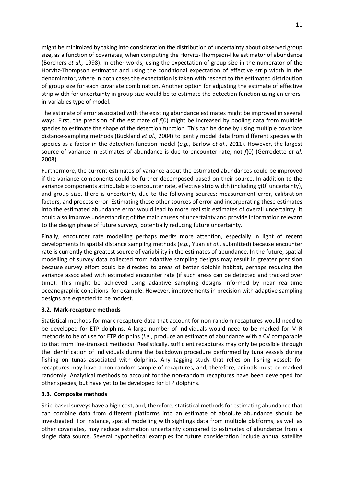might be minimized by taking into consideration the distribution of uncertainty about observed group size, as a function of covariates, when computing the Horvitz-Thompson-like estimator of abundance (Borchers *et al.,* 1998). In other words, using the expectation of group size in the numerator of the Horvitz-Thompson estimator and using the conditional expectation of effective strip width in the denominator, where in both cases the expectation is taken with respect to the estimated distribution of group size for each covariate combination. Another option for adjusting the estimate of effective strip width for uncertainty in group size would be to estimate the detection function using an errorsin-variables type of model.

The estimate of error associated with the existing abundance estimates might be improved in several ways. First, the precision of the estimate of *f*(0) might be increased by pooling data from multiple species to estimate the shape of the detection function. This can be done by using multiple covariate distance-sampling methods (Buckland *et al*., 2004) to jointly model data from different species with species as a factor in the detection function model (*e.g.*, Barlow *et al*., 2011). However, the largest source of variance in estimates of abundance is due to encounter rate, not *f*(0) (Gerrodette *et al*. 2008).

Furthermore, the current estimates of variance about the estimated abundances could be improved if the variance components could be further decomposed based on their source. In addition to the variance components attributable to encounter rate, effective strip width (including *g*(0) uncertainty), and group size, there is uncertainty due to the following sources: measurement error, calibration factors, and process error. Estimating these other sources of error and incorporating these estimates into the estimated abundance error would lead to more realistic estimates of overall uncertainty. It could also improve understanding of the main causes of uncertainty and provide information relevant to the design phase of future surveys, potentially reducing future uncertainty.

Finally, encounter rate modelling perhaps merits more attention, especially in light of recent developments in spatial distance sampling methods (*e.g.*, Yuan *et al*., submitted) because encounter rate is currently the greatest source of variability in the estimates of abundance. In the future, spatial modelling of survey data collected from adaptive sampling designs may result in greater precision because survey effort could be directed to areas of better dolphin habitat, perhaps reducing the variance associated with estimated encounter rate (if such areas can be detected and tracked over time). This might be achieved using adaptive sampling designs informed by near real-time oceanographic conditions, for example. However, improvements in precision with adaptive sampling designs are expected to be modest.

## **3.2. Mark-recapture methods**

Statistical methods for mark-recapture data that account for non-random recaptures would need to be developed for ETP dolphins. A large number of individuals would need to be marked for M-R methods to be of use for ETP dolphins (*i.e.*, produce an estimate of abundance with a CV comparable to that from line-transect methods). Realistically, sufficient recaptures may only be possible through the identification of individuals during the backdown procedure performed by tuna vessels during fishing on tunas associated with dolphins. Any tagging study that relies on fishing vessels for recaptures may have a non-random sample of recaptures, and, therefore, animals must be marked randomly. Analytical methods to account for the non-random recaptures have been developed for other species, but have yet to be developed for ETP dolphins.

## **3.3. Composite methods**

Ship-based surveys have a high cost, and, therefore, statistical methods for estimating abundance that can combine data from different platforms into an estimate of absolute abundance should be investigated. For instance, spatial modelling with sightings data from multiple platforms, as well as other covariates, may reduce estimation uncertainty compared to estimates of abundance from a single data source. Several hypothetical examples for future consideration include annual satellite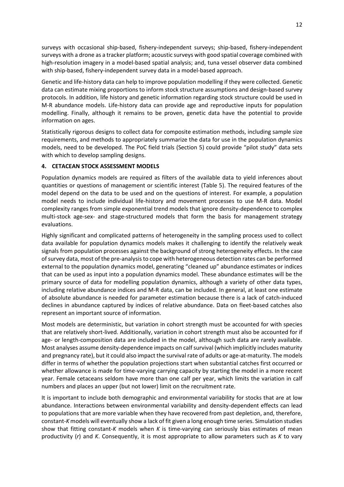surveys with occasional ship-based, fishery-independent surveys; ship-based, fishery-independent surveys with a drone as a tracker platform; acoustic surveys with good spatial coverage combined with high-resolution imagery in a model-based spatial analysis; and, tuna vessel observer data combined with ship-based, fishery-independent survey data in a model-based approach.

Genetic and life-history data can help to improve population modelling if they were collected. Genetic data can estimate mixing proportions to inform stock structure assumptions and design-based survey protocols. In addition, life history and genetic information regarding stock structure could be used in M-R abundance models. Life-history data can provide age and reproductive inputs for population modelling. Finally, although it remains to be proven, genetic data have the potential to provide information on ages.

Statistically rigorous designs to collect data for composite estimation methods, including sample size requirements, and methods to appropriately summarize the data for use in the population dynamics models, need to be developed. The PoC field trials (Section 5) could provide "pilot study" data sets with which to develop sampling designs.

# <span id="page-12-0"></span>**4. CETACEAN STOCK ASSESSMENT MODELS**

Population dynamics models are required as filters of the available data to yield inferences about quantities or questions of management or scientific interest (Table 5). The required features of the model depend on the data to be used and on the questions of interest. For example, a population model needs to include individual life-history and movement processes to use M-R data. Model complexity ranges from simple exponential trend models that ignore density-dependence to complex multi-stock age-sex- and stage-structured models that form the basis for management strategy evaluations.

Highly significant and complicated patterns of heterogeneity in the sampling process used to collect data available for population dynamics models makes it challenging to identify the relatively weak signals from population processes against the background of strong heterogeneity effects. In the case of survey data, most of the pre-analysis to cope with heterogeneous detection rates can be performed external to the population dynamics model, generating "cleaned up" abundance estimates or indices that can be used as input into a population dynamics model. These abundance estimates will be the primary source of data for modelling population dynamics, although a variety of other data types, including relative abundance indices and M-R data, can be included. In general, at least one estimate of absolute abundance is needed for parameter estimation because there is a lack of catch-induced declines in abundance captured by indices of relative abundance. Data on fleet-based catches also represent an important source of information.

Most models are deterministic, but variation in cohort strength must be accounted for with species that are relatively short-lived. Additionally, variation in cohort strength must also be accounted for if age- or length-composition data are included in the model, although such data are rarely available. Most analyses assume density-dependence impacts on calf survival (which implicitly includes maturity and pregnancy rate), but it could also impact the survival rate of adults or age-at-maturity. The models differ in terms of whether the population projections start when substantial catches first occurred or whether allowance is made for time-varying carrying capacity by starting the model in a more recent year. Female cetaceans seldom have more than one calf per year, which limits the variation in calf numbers and places an upper (but not lower) limit on the recruitment rate.

It is important to include both demographic and environmental variability for stocks that are at low abundance. Interactions between environmental variability and density-dependent effects can lead to populations that are more variable when they have recovered from past depletion, and, therefore, constant-*K* models will eventually show a lack of fit given a long enough time series. Simulation studies show that fitting constant-*K* models when *K* is time-varying can seriously bias estimates of mean productivity (*r*) and *K*. Consequently, it is most appropriate to allow parameters such as *K* to vary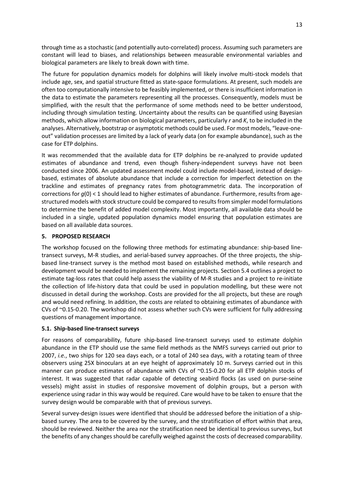through time as a stochastic (and potentially auto-correlated) process. Assuming such parameters are constant will lead to biases, and relationships between measurable environmental variables and biological parameters are likely to break down with time.

The future for population dynamics models for dolphins will likely involve multi-stock models that include age, sex, and spatial structure fitted as state-space formulations. At present, such models are often too computationally intensive to be feasibly implemented, or there is insufficient information in the data to estimate the parameters representing all the processes. Consequently, models must be simplified, with the result that the performance of some methods need to be better understood, including through simulation testing. Uncertainty about the results can be quantified using Bayesian methods, which allow information on biological parameters, particularly *r* and *K*, to be included in the analyses. Alternatively, bootstrap or asymptotic methods could be used. For most models, "leave-oneout" validation processes are limited by a lack of yearly data (on for example abundance), such as the case for ETP dolphins.

It was recommended that the available data for ETP dolphins be re-analyzed to provide updated estimates of abundance and trend, even though fishery-independent surveys have not been conducted since 2006. An updated assessment model could include model-based, instead of designbased, estimates of absolute abundance that include a correction for imperfect detection on the trackline and estimates of pregnancy rates from photogrammetric data. The incorporation of corrections for *g*(0) < 1 should lead to higher estimates of abundance. Furthermore, results from agestructured models with stock structure could be compared to results from simpler model formulations to determine the benefit of added model complexity. Most importantly, all available data should be included in a single, updated population dynamics model ensuring that population estimates are based on all available data sources.

# <span id="page-13-0"></span>**5. PROPOSED RESEARCH**

The workshop focused on the following three methods for estimating abundance: ship-based linetransect surveys, M-R studies, and aerial-based survey approaches. Of the three projects, the shipbased line-transect survey is the method most based on established methods, while research and development would be needed to implement the remaining projects. Section 5.4 outlines a project to estimate tag-loss rates that could help assess the viability of M-R studies and a project to re-initiate the collection of life-history data that could be used in population modelling, but these were not discussed in detail during the workshop. Costs are provided for the all projects, but these are rough and would need refining. In addition, the costs are related to obtaining estimates of abundance with CVs of ~0.15-0.20. The workshop did not assess whether such CVs were sufficient for fully addressing questions of management importance.

# **5.1. Ship-based line-transect surveys**

For reasons of comparability, future ship-based line-transect surveys used to estimate dolphin abundance in the ETP should use the same field methods as the NMFS surveys carried out prior to 2007, *i.e.*, two ships for 120 sea days each, or a total of 240 sea days, with a rotating team of three observers using 25X binoculars at an eye height of approximately 10 m. Surveys carried out in this manner can produce estimates of abundance with CVs of ~0.15-0.20 for all ETP dolphin stocks of interest. It was suggested that radar capable of detecting seabird flocks (as used on purse-seine vessels) might assist in studies of responsive movement of dolphin groups, but a person with experience using radar in this way would be required. Care would have to be taken to ensure that the survey design would be comparable with that of previous surveys.

Several survey-design issues were identified that should be addressed before the initiation of a shipbased survey. The area to be covered by the survey, and the stratification of effort within that area, should be reviewed. Neither the area nor the stratification need be identical to previous surveys, but the benefits of any changes should be carefully weighed against the costs of decreased comparability.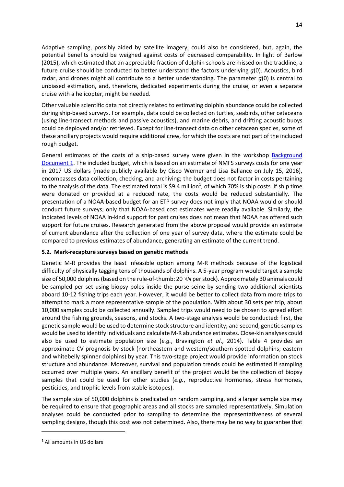Adaptive sampling, possibly aided by satellite imagery, could also be considered, but, again, the potential benefits should be weighed against costs of decreased comparability. In light of Barlow (2015), which estimated that an appreciable fraction of dolphin schools are missed on the trackline, a future cruise should be conducted to better understand the factors underlying *g*(0). Acoustics, bird radar, and drones might all contribute to a better understanding. The parameter *g*(0) is central to unbiased estimation, and, therefore, dedicated experiments during the cruise, or even a separate cruise with a helicopter, might be needed.

Other valuable scientific data not directly related to estimating dolphin abundance could be collected during ship-based surveys. For example, data could be collected on turtles, seabirds, other cetaceans (using line-transect methods and passive acoustics), and marine debris, and drifting acoustic buoys could be deployed and/or retrieved. Except for line-transect data on other cetacean species, some of these ancillary projects would require additional crew, for which the costs are not part of the included rough budget.

General estimates of the costs of a ship-based survey were given in the workshop Background Document 1. The included budget, which is based on an estimate of NMFS surveys costs for one year in 2017 US dollars (made publicly available by Cisco Werner and Lisa Ballance on July 15, 2016), encompasses data collection, checking, and archiving; the budget does not factor in costs pertaining to the analysis of the data. The estimated total is \$9.4 million<sup>[1](#page-14-0)</sup>, of which 70% is ship costs. If ship time were donated or provided at a reduced rate, the costs would be reduced substantially. The presentation of a NOAA-based budget for an ETP survey does not imply that NOAA would or should conduct future surveys, only that NOAA-based cost estimates were readily available. Similarly, the indicated levels of NOAA in-kind support for past cruises does not mean that NOAA has offered such support for future cruises. Research generated from the above proposal would provide an estimate of current abundance after the collection of one year of survey data, where the estimate could be compared to previous estimates of abundance, generating an estimate of the current trend.

# **5.2. Mark-recapture surveys based on genetic methods**

Genetic M-R provides the least infeasible option among M-R methods because of the logistical difficulty of physically tagging tens of thousands of dolphins. A 5-year program would target a sample size of 50,000 dolphins (based on the rule-of-thumb: 20 √*N* per stock). Approximately 30 animals could be sampled per set using biopsy poles inside the purse seine by sending two additional scientists aboard 10-12 fishing trips each year. However, it would be better to collect data from more trips to attempt to mark a more representative sample of the population. With about 30 sets per trip, about 10,000 samples could be collected annually. Sampled trips would need to be chosen to spread effort around the fishing grounds, seasons, and stocks. A two-stage analysis would be conducted: first, the genetic sample would be used to determine stock structure and identity; and second, genetic samples would be used to identify individuals and calculate M-R abundance estimates. Close-kin analyses could also be used to estimate population size (*e.g.*, Bravington *et al*., 2014). Table 4 provides an approximate CV prognosis by stock (northeastern and western/southern spotted dolphins; eastern and whitebelly spinner dolphins) by year. This two-stage project would provide information on stock structure and abundance. Moreover, survival and population trends could be estimated if sampling occurred over multiple years. An ancillary benefit of the project would be the collection of biopsy samples that could be used for other studies (*e.g.*, reproductive hormones, stress hormones, pesticides, and trophic levels from stable isotopes).

The sample size of 50,000 dolphins is predicated on random sampling, and a larger sample size may be required to ensure that geographic areas and all stocks are sampled representatively. Simulation analyses could be conducted prior to sampling to determine the representativeness of several sampling designs, though this cost was not determined. Also, there may be no way to guarantee that

 $\overline{a}$ 

<span id="page-14-0"></span><sup>1</sup> All amounts in US dollars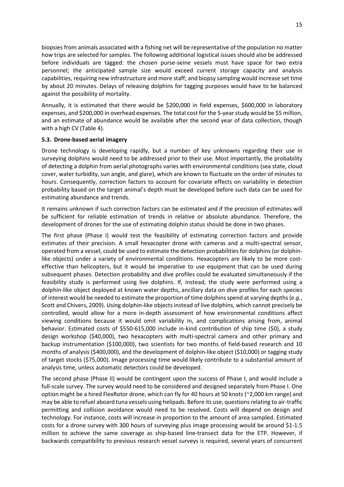biopsies from animals associated with a fishing net will be representative of the population no matter how trips are selected for samples. The following additional logistical issues should also be addressed before individuals are tagged: the chosen purse-seine vessels must have space for two extra personnel; the anticipated sample size would exceed current storage capacity and analysis capabilities, requiring new infrastructure and more staff; and biopsy sampling would increase set time by about 20 minutes. Delays of releasing dolphins for tagging purposes would have to be balanced against the possibility of mortality.

Annually, it is estimated that there would be \$200,000 in field expenses, \$600,000 in laboratory expenses, and \$200,000 in overhead expenses. The total cost for the 5-year study would be \$5 million, and an estimate of abundance would be available after the second year of data collection, though with a high CV (Table 4).

## **5.3. Drone-based aerial imagery**

Drone technology is developing rapidly, but a number of key unknowns regarding their use in surveying dolphins would need to be addressed prior to their use. Most importantly, the probability of detecting a dolphin from aerial photographs varies with environmental conditions (sea state, cloud cover, water turbidity, sun angle, and glare), which are known to fluctuate on the order of minutes to hours. Consequently, correction factors to account for covariate effects on variability in detection probability based on the target animal's depth must be developed before such data can be used for estimating abundance and trends.

It remains unknown if such correction factors can be estimated and if the precision of estimates will be sufficient for reliable estimation of trends in relative or absolute abundance. Therefore, the development of drones for the use of estimating dolphin status should be done in two phases.

The first phase (Phase I) would test the feasibility of estimating correction factors and provide estimates of their precision. A small hexacopter drone with cameras and a multi-spectral sensor, operated from a vessel, could be used to estimate the detection probabilities for dolphins (or dolphinlike objects) under a variety of environmental conditions. Hexacopters are likely to be more costeffective than helicopters, but it would be imperative to use equipment that can be used during subsequent phases. Detection probability and dive profiles could be evaluated simultaneously if the feasibility study is performed using live dolphins. If, instead, the study were performed using a dolphin-like object deployed at known water depths, ancillary data on dive profiles for each species of interest would be needed to estimate the proportion of time dolphins spend at varying depths(*e.g.*, Scott and Chivers, 2009). Using dolphin-like objects instead of live dolphins, which cannot precisely be controlled, would allow for a more in-depth assessment of how environmental conditions affect viewing conditions because it would omit variability in, and complications arising from, animal behavior. Estimated costs of \$550-615,000 include in-kind contribution of ship time (\$0), a study design workshop (\$40,000), two hexacopters with multi-spectral camera and other primary and backup instrumentation (\$100,000), two scientists for two months of field-based research and 10 months of analysis (\$400,000), and the development of dolphin-like object (\$10,000) or tagging study of target stocks (\$75,000). Image processing time would likely contribute to a substantial amount of analysis time, unless automatic detectors could be developed.

The second phase (Phase II) would be contingent upon the success of Phase I, and would include a full-scale survey. The survey would need to be considered and designed separately from Phase I. One option might be a hired FlexRotor drone, which can fly for 40 hours at 50 knots (~2,000 km range) and may be able to refuel aboard tuna vessels using helipads. Before its use, questionsrelating to air-traffic permitting and collision avoidance would need to be resolved. Costs will depend on design and technology. For instance, costs will increase in proportion to the amount of area sampled. Estimated costs for a drone survey with 300 hours of surveying plus image processing would be around \$1-1.5 million to achieve the same coverage as ship-based line-transect data for the ETP. However, if backwards compatibility to previous research vessel surveys is required, several years of concurrent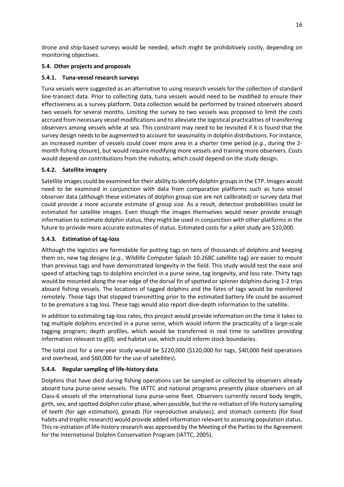drone and ship-based surveys would be needed, which might be prohibitively costly, depending on monitoring objectives.

# **5.4. Other projects and proposals**

# **5.4.1. Tuna-vessel research surveys**

Tuna vessels were suggested as an alternative to using research vessels for the collection of standard line-transect data. Prior to collecting data, tuna vessels would need to be modified to ensure their effectiveness as a survey platform. Data collection would be performed by trained observers aboard two vessels for several months. Limiting the survey to two vessels was proposed to limit the costs accrued from necessary vessel modifications and to alleviate the logistical practicalities of transferring observers among vessels while at sea. This constraint may need to be revisited if it is found that the survey design needs to be augmented to account for seasonality in dolphin distributions. For instance, an increased number of vessels could cover more area in a shorter time period (*e.g.*, during the 2 month fishing closure), but would require modifying more vessels and training more observers. Costs would depend on contributions from the industry, which could depend on the study design.

# **5.4.2. Satellite imagery**

Satellite images could be examined for their ability to identify dolphin groups in the ETP. Images would need to be examined in conjunction with data from comparative platforms such as tuna vessel observer data (although these estimates of dolphin group size are not calibrated) or survey data that could provide a more accurate estimate of group size. As a result, detection probabilities could be estimated for satellite images. Even though the images themselves would never provide enough information to estimate dolphin status, they might be used in conjunction with other platforms in the future to provide more accurate estimates of status. Estimated costs for a pilot study are \$10,000.

# **5.4.3. Estimation of tag-loss**

Although the logistics are formidable for putting tags on tens of thousands of dolphins and keeping them on, new tag designs (*e.g.*, Wildlife Computer Splash 10-268C satellite tag) are easier to mount than previous tags and have demonstrated longevity in the field. This study would test the ease and speed of attaching tags to dolphins encircled in a purse seine, tag longevity, and loss rate. Thirty tags would be mounted along the rear edge of the dorsal fin of spotted or spinner dolphins during 1-2 trips aboard fishing vessels. The locations of tagged dolphins and the fates of tags would be monitored remotely. Those tags that stopped transmitting prior to the estimated battery life could be assumed to be premature a tag loss. These tags would also report dive-depth information to the satellite.

In addition to estimating tag-loss rates, this project would provide information on the time it takes to tag multiple dolphins encircled in a purse seine, which would inform the practicality of a large-scale tagging program; depth profiles, which would be transferred in real time to satellites providing information relevant to *g*(0); and habitat use, which could inform stock boundaries.

The total cost for a one-year study would be \$220,000 (\$120,000 for tags, \$40,000 field operations and overhead, and \$60,000 for the use of satellites).

# **5.4.4. Regular sampling of life-history data**

Dolphins that have died during fishing operations can be sampled or collected by observers already aboard tuna purse-seine vessels. The IATTC and national programs presently place observers on all Class-6 vessels of the international tuna purse-seine fleet. Observers currently record body length, girth, sex, and spotted dolphin color phase, when possible, but the re-initiation of life-history sampling of teeth (for age estimation), gonads (for reproductive analyses), and stomach contents (for food habits and trophic research) would provide added information relevant to assessing population status. This re-initiation of life-history research was approved by the Meeting of the Parties to the Agreement for the International Dolphin Conservation Program (IATTC, 2005).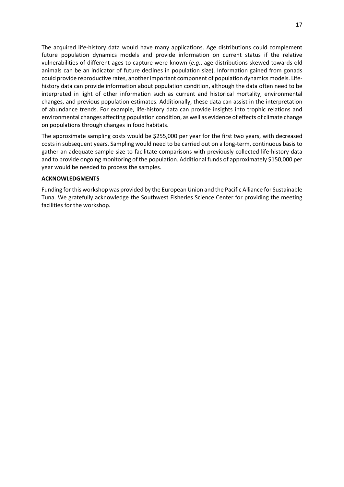The acquired life-history data would have many applications. Age distributions could complement future population dynamics models and provide information on current status if the relative vulnerabilities of different ages to capture were known (*e.g.*, age distributions skewed towards old animals can be an indicator of future declines in population size). Information gained from gonads could provide reproductive rates, another important component of population dynamics models. Lifehistory data can provide information about population condition, although the data often need to be interpreted in light of other information such as current and historical mortality, environmental changes, and previous population estimates. Additionally, these data can assist in the interpretation of abundance trends. For example, life-history data can provide insights into trophic relations and environmental changes affecting population condition, as well as evidence of effects of climate change on populations through changes in food habitats.

The approximate sampling costs would be \$255,000 per year for the first two years, with decreased costs in subsequent years. Sampling would need to be carried out on a long-term, continuous basis to gather an adequate sample size to facilitate comparisons with previously collected life-history data and to provide ongoing monitoring of the population. Additional funds of approximately \$150,000 per year would be needed to process the samples.

### <span id="page-17-0"></span>**ACKNOWLEDGMENTS**

Funding for this workshop was provided by the European Union and the Pacific Alliance for Sustainable Tuna. We gratefully acknowledge the Southwest Fisheries Science Center for providing the meeting facilities for the workshop.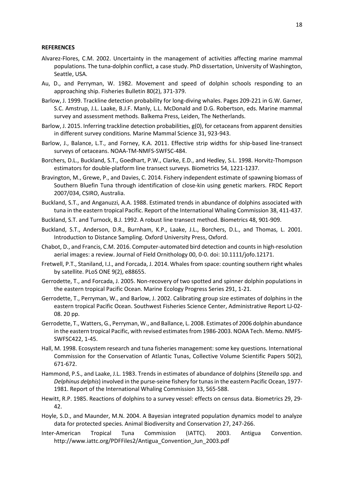#### <span id="page-18-0"></span>**REFERENCES**

- Alvarez-Flores, C.M. 2002. Uncertainty in the management of activities affecting marine mammal populations. The tuna-dolphin conflict, a case study. PhD dissertation, University of Washington, Seattle, USA.
- Au, D., and Perryman, W. 1982. Movement and speed of dolphin schools responding to an approaching ship. Fisheries Bulletin 80(2), 371-379.
- Barlow, J. 1999. Trackline detection probability for long-diving whales. Pages 209-221 in G.W. Garner, S.C. Amstrup, J.L. Laake, B.J.F. Manly, L.L. McDonald and D.G. Robertson, eds. Marine mammal survey and assessment methods. Balkema Press, Leiden, The Netherlands.
- Barlow, J. 2015. Inferring trackline detection probabilities, g(0), for cetaceans from apparent densities in different survey conditions. Marine Mammal Science 31, 923-943.
- Barlow, J., Balance, L.T., and Forney, K.A. 2011. Effective strip widths for ship-based line-transect surveys of cetaceans. NOAA-TM-NMFS-SWFSC-484.
- Borchers, D.L., Buckland, S.T., Goedhart, P.W., Clarke, E.D., and Hedley, S.L. 1998. Horvitz-Thompson estimators for double-platform line transect surveys. Biometrics 54, 1221-1237.
- Bravington, M., Grewe, P., and Davies, C. 2014. Fishery independent estimate of spawning biomass of Southern Bluefin Tuna through identification of close-kin using genetic markers. FRDC Report 2007/034, CSIRO, Australia.
- Buckland, S.T., and Anganuzzi, A.A. 1988. Estimated trends in abundance of dolphins associated with tuna in the eastern tropical Pacific. Report of the International Whaling Commission 38, 411-437.
- Buckland, S.T. and Turnock, B.J. 1992. A robust line transect method. Biometrics 48, 901-909.
- Buckland, S.T., Anderson, D.R., Burnham, K.P., Laake, J.L., Borchers, D.L., and Thomas, L. 2001. Introduction to Distance Sampling. Oxford University Press, Oxford.
- Chabot, D., and Francis, C.M. 2016. Computer-automated bird detection and counts in high-resolution aerial images: a review. Journal of Field Ornithology 00, 0-0. doi: 10.1111/jofo.12171.
- Fretwell, P.T., Staniland, I.J., and Forcada, J. 2014. Whales from space: counting southern right whales by satellite. PLoS ONE 9(2), e88655.
- Gerrodette, T., and Forcada, J. 2005. Non-recovery of two spotted and spinner dolphin populations in the eastern tropical Pacific Ocean. Marine Ecology Progress Series 291, 1-21.
- Gerrodette, T., Perryman, W., and Barlow, J. 2002. Calibrating group size estimates of dolphins in the eastern tropical Pacific Ocean. Southwest Fisheries Science Center, Administrative Report LJ-02- 08. 20 pp.
- Gerrodette, T., Watters, G., Perryman, W., and Ballance, L. 2008. Estimates of 2006 dolphin abundance in the eastern tropical Pacific, with revised estimates from 1986-2003. NOAA Tech. Memo. NMFS-SWFSC422, 1-45.
- Hall, M. 1998. Ecosystem research and tuna fisheries management: some key questions. International Commission for the Conservation of Atlantic Tunas, Collective Volume Scientific Papers 50(2), 671-672.
- Hammond, P.S., and Laake, J.L. 1983. Trends in estimates of abundance of dolphins (*Stenella* spp. and *Delphinus delphis*) involved in the purse-seine fishery for tunas in the eastern Pacific Ocean, 1977- 1981. Report of the International Whaling Commission 33, 565-588.
- Hewitt, R.P. 1985. Reactions of dolphins to a survey vessel: effects on census data. Biometrics 29, 29- 42.
- Hoyle, S.D., and Maunder, M.N. 2004. A Bayesian integrated population dynamics model to analyze data for protected species. Animal Biodiversity and Conservation 27, 247-266.
- Inter-American Tropical Tuna Commission (IATTC). 2003. Antigua Convention. http://www.iattc.org/PDFFiles2/Antigua\_Convention\_Jun\_2003.pdf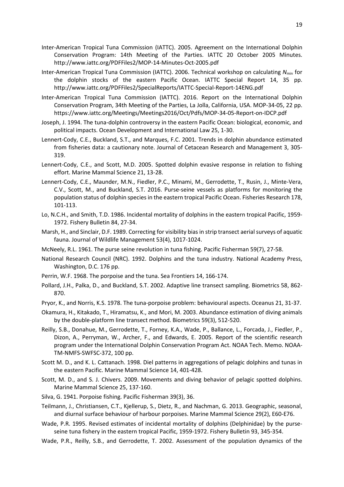- Inter-American Tropical Tuna Commission (IATTC). 2005. Agreement on the International Dolphin Conservation Program: 14th Meeting of the Parties. IATTC 20 October 2005 Minutes. http://www.iattc.org/PDFFiles2/MOP-14-Minutes-Oct-2005.pdf
- Inter-American Tropical Tuna Commission (IATTC). 2006. Technical workshop on calculating *N*min for the dolphin stocks of the eastern Pacific Ocean. IATTC Special Report 14, 35 pp. http://www.iattc.org/PDFFiles2/SpecialReports/IATTC-Special-Report-14ENG.pdf
- Inter-American Tropical Tuna Commission (IATTC). 2016. Report on the International Dolphin Conservation Program, 34th Meeting of the Parties, La Jolla, California, USA. MOP-34-05, 22 pp. https://www.iattc.org/Meetings/Meetings2016/Oct/Pdfs/MOP-34-05-Report-on-IDCP.pdf
- Joseph, J. 1994. The tuna-dolphin controversy in the eastern Pacific Ocean: biological, economic, and political impacts. Ocean Development and International Law 25, 1-30.
- Lennert-Cody, C.E., Buckland, S.T., and Marques, F.C. 2001. Trends in dolphin abundance estimated from fisheries data: a cautionary note. Journal of Cetacean Research and Management 3, 305- 319.
- Lennert-Cody, C.E., and Scott, M.D. 2005. Spotted dolphin evasive response in relation to fishing effort. Marine Mammal Science 21, 13-28.
- Lennert-Cody, C.E., Maunder, M.N., Fiedler, P.C., Minami, M., Gerrodette, T., Rusin, J., Minte-Vera, C.V., Scott, M., and Buckland, S.T. 2016. Purse-seine vessels as platforms for monitoring the population status of dolphin species in the eastern tropical Pacific Ocean. Fisheries Research 178, 101-113.
- Lo, N.C.H., and Smith, T.D. 1986. Incidental mortality of dolphins in the eastern tropical Pacific, 1959- 1972. Fishery Bulletin 84, 27-34.
- Marsh, H., and Sinclair, D.F. 1989. Correcting for visibility bias in strip transect aerial surveys of aquatic fauna. Journal of Wildlife Management 53(4), 1017-1024.
- McNeely, R.L. 1961. The purse seine revolution in tuna fishing. Pacific Fisherman 59(7), 27-58.
- National Research Council (NRC). 1992. Dolphins and the tuna industry. National Academy Press, Washington, D.C. 176 pp.
- Perrin, W.F. 1968. The porpoise and the tuna. Sea Frontiers 14, 166-174.
- Pollard, J.H., Palka, D., and Buckland, S.T. 2002. Adaptive line transect sampling. Biometrics 58, 862- 870.
- Pryor, K., and Norris, K.S. 1978. The tuna-porpoise problem: behavioural aspects. Oceanus 21, 31-37.
- Okamura, H., Kitakado, T., Hiramatsu, K., and Mori, M. 2003. Abundance estimation of diving animals by the double-platform line transect method. Biometrics 59(3), 512-520.
- Reilly, S.B., Donahue, M., Gerrodette, T., Forney, K.A., Wade, P., Ballance, L., Forcada, J., Fiedler, P., Dizon, A., Perryman, W., Archer, F., and Edwards, E. 2005. Report of the scientific research program under the International Dolphin Conservation Program Act. NOAA Tech. Memo. NOAA-TM-NMFS-SWFSC-372, 100 pp.
- Scott M. D., and K. L. Cattanach. 1998. Diel patterns in aggregations of pelagic dolphins and tunas in the eastern Pacific. Marine Mammal Science 14, 401-428.
- Scott, M. D., and S. J. Chivers. 2009. Movements and diving behavior of pelagic spotted dolphins. Marine Mammal Science 25, 137-160.
- Silva, G. 1941. Porpoise fishing. Pacific Fisherman 39(3), 36.
- Teilmann, J., Christiansen, C.T., Kjellerup, S., Dietz, R., and Nachman, G. 2013. Geographic, seasonal, and diurnal surface behaviour of harbour porpoises. Marine Mammal Science 29(2), E60-E76.
- Wade, P.R. 1995. Revised estimates of incidental mortality of dolphins (Delphinidae) by the purseseine tuna fishery in the eastern tropical Pacific, 1959-1972. Fishery Bulletin 93, 345-354.
- Wade, P.R., Reilly, S.B., and Gerrodette, T. 2002. Assessment of the population dynamics of the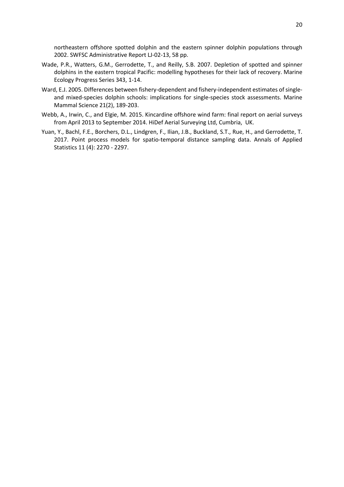northeastern offshore spotted dolphin and the eastern spinner dolphin populations through 2002. SWFSC Administrative Report LJ-02-13, 58 pp.

- Wade, P.R., Watters, G.M., Gerrodette, T., and Reilly, S.B. 2007. Depletion of spotted and spinner dolphins in the eastern tropical Pacific: modelling hypotheses for their lack of recovery. Marine Ecology Progress Series 343, 1-14.
- Ward, E.J. 2005. Differences between fishery-dependent and fishery-independent estimates of singleand mixed-species dolphin schools: implications for single-species stock assessments. Marine Mammal Science 21(2), 189-203.
- Webb, A., Irwin, C., and Elgie, M. 2015. Kincardine offshore wind farm: final report on aerial surveys from April 2013 to September 2014. HiDef Aerial Surveying Ltd, Cumbria, UK.
- Yuan, Y., Bachl, F.E., Borchers, D.L., Lindgren, F., Ilian, J.B., Buckland, S.T., Rue, H., and Gerrodette, T. 2017. Point process models for spatio-temporal distance sampling data. Annals of Applied Statistics 11 (4): 2270 - 2297.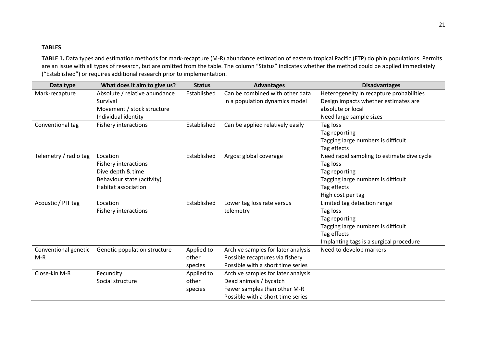# **TABLES**

**TABLE 1.** Data types and estimation methods for mark-recapture (M-R) abundance estimation of eastern tropical Pacific (ETP) dolphin populations. Permits are an issue with all types of research, but are omitted from the table. The column "Status" indicates whether the method could be applied immediately ("Established") or requires additional research prior to implementation.

<span id="page-21-0"></span>

| Data type             | What does it aim to give us?  | <b>Status</b> | <b>Advantages</b>                  | <b>Disadvantages</b>                       |
|-----------------------|-------------------------------|---------------|------------------------------------|--------------------------------------------|
| Mark-recapture        | Absolute / relative abundance | Established   | Can be combined with other data    | Heterogeneity in recapture probabilities   |
|                       | Survival                      |               | in a population dynamics model     | Design impacts whether estimates are       |
|                       | Movement / stock structure    |               |                                    | absolute or local                          |
|                       | Individual identity           |               |                                    | Need large sample sizes                    |
| Conventional tag      | <b>Fishery interactions</b>   | Established   | Can be applied relatively easily   | Tag loss                                   |
|                       |                               |               |                                    | Tag reporting                              |
|                       |                               |               |                                    | Tagging large numbers is difficult         |
|                       |                               |               |                                    | Tag effects                                |
| Telemetry / radio tag | Location                      | Established   | Argos: global coverage             | Need rapid sampling to estimate dive cycle |
|                       | Fishery interactions          |               |                                    | Tag loss                                   |
|                       | Dive depth & time             |               |                                    | Tag reporting                              |
|                       | Behaviour state (activity)    |               |                                    | Tagging large numbers is difficult         |
|                       | Habitat association           |               |                                    | Tag effects                                |
|                       |                               |               |                                    | High cost per tag                          |
| Acoustic / PIT tag    | Location                      | Established   | Lower tag loss rate versus         | Limited tag detection range                |
|                       | <b>Fishery interactions</b>   |               | telemetry                          | Tag loss                                   |
|                       |                               |               |                                    | Tag reporting                              |
|                       |                               |               |                                    | Tagging large numbers is difficult         |
|                       |                               |               |                                    | Tag effects                                |
|                       |                               |               |                                    | Implanting tags is a surgical procedure    |
| Conventional genetic  | Genetic population structure  | Applied to    | Archive samples for later analysis | Need to develop markers                    |
| $M-R$                 |                               | other         | Possible recaptures via fishery    |                                            |
|                       |                               | species       | Possible with a short time series  |                                            |
| Close-kin M-R         | Fecundity                     | Applied to    | Archive samples for later analysis |                                            |
|                       | Social structure              | other         | Dead animals / bycatch             |                                            |
|                       |                               | species       | Fewer samples than other M-R       |                                            |
|                       |                               |               | Possible with a short time series  |                                            |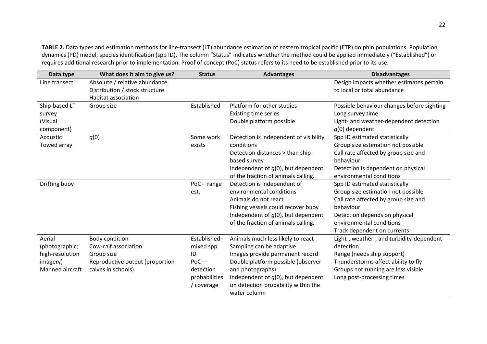**TABLE 2.** Data types and estimation methods for line-transect (LT) abundance estimation of eastern tropical pacific (ETP) dolphin populations. Population dynamics (PD) model; species identification (spp ID). The column "Status" indicates whether the method could be applied immediately ("Established") or requires additional research prior to implementation. Proof of concept (PoC) status refers to its need to be established prior to its use.

| Data type       | What does it aim to give us?    | <b>Status</b> | <b>Advantages</b>                      | <b>Disadvantages</b>                       |
|-----------------|---------------------------------|---------------|----------------------------------------|--------------------------------------------|
| Line transect   | Absolute / relative abundance   |               |                                        | Design impacts whether estimates pertain   |
|                 | Distribution / stock structure  |               |                                        | to local or total abundance                |
|                 | Habitat association             |               |                                        |                                            |
| Ship-based LT   | Group size                      | Established   | Platform for other studies             | Possible behaviour changes before sighting |
| survey          |                                 |               | <b>Existing time series</b>            | Long survey time                           |
| (Visual         |                                 |               | Double platform possible               | Light- and weather-dependent detection     |
| component)      |                                 |               |                                        | $q(0)$ dependent                           |
| Acoustic        | g(0)                            | Some work     | Detection is independent of visibility | Spp ID estimated statistically             |
| Towed array     |                                 | exists        | conditions                             | Group size estimation not possible         |
|                 |                                 |               | Detection distances > than ship-       | Call rate affected by group size and       |
|                 |                                 |               | based survey                           | behaviour                                  |
|                 |                                 |               | Independent of $q(0)$ , but dependent  | Detection is dependent on physical         |
|                 |                                 |               | of the fraction of animals calling.    | environmental conditions                   |
| Drifting buoy   |                                 | $PoC - range$ | Detection is independent of            | Spp ID estimated statistically             |
|                 |                                 | est.          | environmental conditions               | Group size estimation not possible         |
|                 |                                 |               | Animals do not react                   | Call rate affected by group size and       |
|                 |                                 |               | Fishing vessels could recover buoy     | behaviour                                  |
|                 |                                 |               | Independent of $g(0)$ , but dependent  | Detection depends on physical              |
|                 |                                 |               | of the fraction of animals calling.    | environmental conditions                   |
|                 |                                 |               |                                        | Track dependent on currents                |
| Aerial          | Body condition                  | Established-  | Animals much less likely to react      | Light-, weather-, and turbidity-dependent  |
| (photographic;  | Cow-calf association            | mixed spp     | Sampling can be adaptive               | detection                                  |
| high-resolution | Group size                      | ID            | Images provide permanent record        | Range (needs ship support)                 |
| imagery)        | Reproductive output (proportion | $PoC -$       | Double platform possible (observer     | Thunderstorms affect ability to fly        |
| Manned aircraft | calves in schools)              | detection     | and photographs)                       | Groups not running are less visible        |
|                 |                                 | probabilities | Independent of $g(0)$ , but dependent  | Long post-processing times                 |
|                 |                                 | / coverage    | on detection probability within the    |                                            |
|                 |                                 |               | water column                           |                                            |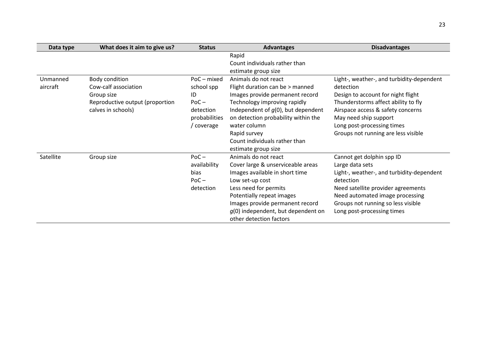| Data type | What does it aim to give us?    | <b>Status</b> | <b>Advantages</b>                     | <b>Disadvantages</b>                      |
|-----------|---------------------------------|---------------|---------------------------------------|-------------------------------------------|
|           |                                 |               | Rapid                                 |                                           |
|           |                                 |               | Count individuals rather than         |                                           |
|           |                                 |               | estimate group size                   |                                           |
| Unmanned  | Body condition                  | PoC-mixed     | Animals do not react                  | Light-, weather-, and turbidity-dependent |
| aircraft  | Cow-calf association            | school spp    | Flight duration can be > manned       | detection                                 |
|           | Group size                      | ID            | Images provide permanent record       | Design to account for night flight        |
|           | Reproductive output (proportion | $PoC -$       | Technology improving rapidly          | Thunderstorms affect ability to fly       |
|           | calves in schools)              | detection     | Independent of $q(0)$ , but dependent | Airspace access & safety concerns         |
|           |                                 | probabilities | on detection probability within the   | May need ship support                     |
|           |                                 | / coverage    | water column                          | Long post-processing times                |
|           |                                 |               | Rapid survey                          | Groups not running are less visible       |
|           |                                 |               | Count individuals rather than         |                                           |
|           |                                 |               | estimate group size                   |                                           |
| Satellite | Group size                      | $PoC -$       | Animals do not react                  | Cannot get dolphin spp ID                 |
|           |                                 | availability  | Cover large & unserviceable areas     | Large data sets                           |
|           |                                 | bias          | Images available in short time        | Light-, weather-, and turbidity-dependent |
|           |                                 | $PoC -$       | Low set-up cost                       | detection                                 |
|           |                                 | detection     | Less need for permits                 | Need satellite provider agreements        |
|           |                                 |               | Potentially repeat images             | Need automated image processing           |
|           |                                 |               | Images provide permanent record       | Groups not running so less visible        |
|           |                                 |               | $q(0)$ independent, but dependent on  | Long post-processing times                |
|           |                                 |               | other detection factors               |                                           |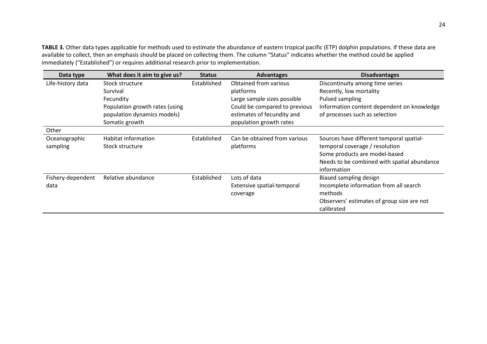**TABLE 3.** Other data types applicable for methods used to estimate the abundance of eastern tropical pacific (ETP) dolphin populations. If these data are available to collect, then an emphasis should be placed on collecting them. The column "Status" indicates whether the method could be applied immediately ("Established") or requires additional research prior to implementation.

| Data type         | What does it aim to give us?   | <b>Status</b> | <b>Advantages</b>             | <b>Disadvantages</b>                        |
|-------------------|--------------------------------|---------------|-------------------------------|---------------------------------------------|
| Life-history data | Stock structure                | Established   | Obtained from various         | Discontinuity among time series             |
|                   | Survival                       |               | platforms                     | Recently, low mortality                     |
|                   | Fecundity                      |               | Large sample sizes possible   | Pulsed sampling                             |
|                   | Population growth rates (using |               | Could be compared to previous | Information content dependent on knowledge  |
|                   | population dynamics models)    |               | estimates of fecundity and    | of processes such as selection              |
|                   | Somatic growth                 |               | population growth rates       |                                             |
| Other             |                                |               |                               |                                             |
| Oceanographic     | Habitat information            | Established   | Can be obtained from various  | Sources have different temporal spatial-    |
| sampling          | Stock structure                |               | platforms                     | temporal coverage / resolution              |
|                   |                                |               |                               | Some products are model-based               |
|                   |                                |               |                               | Needs to be combined with spatial abundance |
|                   |                                |               |                               | information                                 |
| Fishery-dependent | Relative abundance             | Established   | Lots of data                  | Biased sampling design                      |
| data              |                                |               | Extensive spatial-temporal    | Incomplete information from all search      |
|                   |                                |               | coverage                      | methods                                     |
|                   |                                |               |                               | Observers' estimates of group size are not  |
|                   |                                |               |                               | calibrated                                  |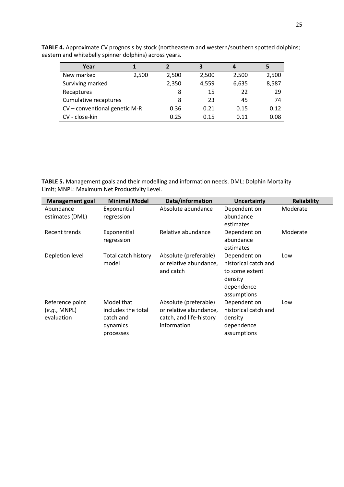| Year                          |       |       | 3     | 4     | 5     |
|-------------------------------|-------|-------|-------|-------|-------|
| New marked                    | 2,500 | 2,500 | 2,500 | 2,500 | 2,500 |
| Surviving marked              |       | 2,350 | 4,559 | 6,635 | 8,587 |
| Recaptures                    |       | 8     | 15    | 22    | 29    |
| Cumulative recaptures         |       | 8     | 23    | 45    | 74    |
| CV - conventional genetic M-R |       | 0.36  | 0.21  | 0.15  | 0.12  |
| CV - close-kin                |       | 0.25  | 0.15  | 0.11  | 0.08  |

**TABLE 4.** Approximate CV prognosis by stock (northeastern and western/southern spotted dolphins; eastern and whitebelly spinner dolphins) across years.

**TABLE 5.** Management goals and their modelling and information needs. DML: Dolphin Mortality Limit; MNPL: Maximum Net Productivity Level.

| <b>Management goal</b> | <b>Minimal Model</b> | Data/information        | <b>Uncertainty</b>   | <b>Reliability</b> |
|------------------------|----------------------|-------------------------|----------------------|--------------------|
| Abundance              | Exponential          | Absolute abundance      | Dependent on         | Moderate           |
| estimates (DML)        | regression           |                         | abundance            |                    |
|                        |                      |                         | estimates            |                    |
| Recent trends          | Exponential          | Relative abundance      | Dependent on         | Moderate           |
|                        | regression           |                         | abundance            |                    |
|                        |                      |                         | estimates            |                    |
| Depletion level        | Total catch history  | Absolute (preferable)   | Dependent on         | Low                |
|                        | model                | or relative abundance,  | historical catch and |                    |
|                        |                      | and catch               | to some extent       |                    |
|                        |                      |                         | density              |                    |
|                        |                      |                         | dependence           |                    |
|                        |                      |                         | assumptions          |                    |
| Reference point        | Model that           | Absolute (preferable)   | Dependent on         | Low                |
| (e.g., MNPL)           | includes the total   | or relative abundance,  | historical catch and |                    |
| evaluation             | catch and            | catch, and life-history | density              |                    |
|                        | dynamics             | information             | dependence           |                    |
|                        | processes            |                         | assumptions          |                    |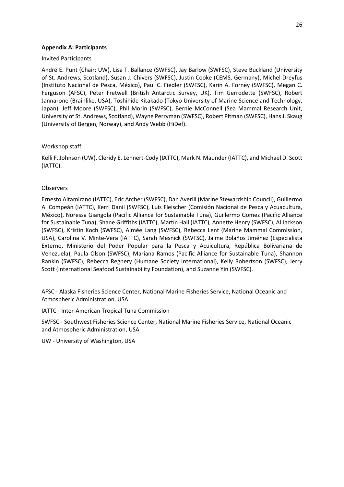### <span id="page-26-0"></span>**Appendix A: Participants**

#### Invited Participants

André E. Punt (Chair; UW), Lisa T. Ballance (SWFSC), Jay Barlow (SWFSC), Steve Buckland (University of St. Andrews, Scotland), Susan J. Chivers (SWFSC), Justin Cooke (CEMS, Germany), Michel Dreyfus (Instituto Nacional de Pesca, México), Paul C. Fiedler (SWFSC), Karin A. Forney (SWFSC), Megan C. Ferguson (AFSC), Peter Fretwell (British Antarctic Survey, UK), Tim Gerrodette (SWFSC), Robert Jannarone (Brainlike, USA), Toshihide Kitakado (Tokyo University of Marine Science and Technology, Japan), Jeff Moore (SWFSC), Phil Morin (SWFSC), Bernie McConnell (Sea Mammal Research Unit, University of St. Andrews, Scotland), Wayne Perryman (SWFSC), Robert Pitman (SWFSC), Hans J. Skaug (University of Bergen, Norway), and Andy Webb (HiDef).

### Workshop staff

Kelli F. Johnson (UW), Cleridy E. Lennert-Cody (IATTC), Mark N. Maunder (IATTC), and Michael D. Scott (IATTC).

### Observers

Ernesto Altamirano (IATTC), Eric Archer (SWFSC), Dan Averill (Marine Stewardship Council), Guillermo A. Compeán (IATTC), Kerri Danil (SWFSC), Luis Fleischer (Comisión Nacional de Pesca y Acuacultura, México), Noressa Giangola (Pacific Alliance for Sustainable Tuna), Guillermo Gomez (Pacific Alliance for Sustainable Tuna), Shane Griffiths (IATTC), Martín Hall (IATTC), Annette Henry (SWFSC), Al Jackson (SWFSC), Kristin Koch (SWFSC), Aimée Lang (SWFSC), Rebecca Lent (Marine Mammal Commission, USA), Carolina V. Minte-Vera (IATTC), Sarah Mesnick (SWFSC), Jaime Bolaños Jiménez (Especialista Externo, Ministerio del Poder Popular para la Pesca y Acuicultura, República Bolivariana de Venezuela), Paula Olson (SWFSC), Mariana Ramos (Pacific Alliance for Sustainable Tuna), Shannon Rankin (SWFSC), Rebecca Regnery (Humane Society International), Kelly Robertson (SWFSC), Jerry Scott (International Seafood Sustainability Foundation), and Suzanne Yin (SWFSC).

AFSC - Alaska Fisheries Science Center, National Marine Fisheries Service, National Oceanic and Atmospheric Administration, USA

IATTC - Inter-American Tropical Tuna Commission

SWFSC - Southwest Fisheries Science Center, National Marine Fisheries Service, National Oceanic and Atmospheric Administration, USA

UW - University of Washington, USA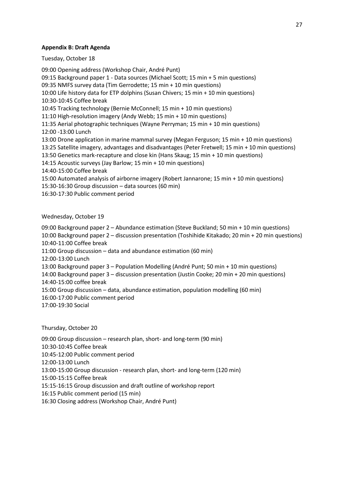## <span id="page-27-0"></span>**Appendix B: Draft Agenda**

Tuesday, October 18

09:00 Opening address (Workshop Chair, André Punt) 09:15 Background paper 1 - Data sources (Michael Scott; 15 min + 5 min questions) 09:35 NMFS survey data (Tim Gerrodette; 15 min + 10 min questions) 10:00 Life history data for ETP dolphins (Susan Chivers; 15 min + 10 min questions) 10:30-10:45 Coffee break 10:45 Tracking technology (Bernie McConnell; 15 min + 10 min questions) 11:10 High-resolution imagery (Andy Webb; 15 min + 10 min questions) 11:35 Aerial photographic techniques (Wayne Perryman; 15 min + 10 min questions) 12:00 -13:00 Lunch 13:00 Drone application in marine mammal survey (Megan Ferguson; 15 min + 10 min questions) 13:25 Satellite imagery, advantages and disadvantages (Peter Fretwell; 15 min + 10 min questions) 13:50 Genetics mark-recapture and close kin (Hans Skaug; 15 min + 10 min questions) 14:15 Acoustic surveys (Jay Barlow; 15 min + 10 min questions) 14:40-15:00 Coffee break 15:00 Automated analysis of airborne imagery (Robert Jannarone; 15 min + 10 min questions) 15:30-16:30 Group discussion – data sources (60 min) 16:30-17:30 Public comment period

# Wednesday, October 19

09:00 Background paper 2 – Abundance estimation (Steve Buckland; 50 min + 10 min questions) 10:00 Background paper 2 – discussion presentation (Toshihide Kitakado; 20 min + 20 min questions) 10:40-11:00 Coffee break 11:00 Group discussion – data and abundance estimation (60 min) 12:00-13:00 Lunch 13:00 Background paper 3 – Population Modelling (André Punt; 50 min + 10 min questions) 14:00 Background paper 3 – discussion presentation (Justin Cooke; 20 min + 20 min questions) 14:40-15:00 coffee break 15:00 Group discussion – data, abundance estimation, population modelling (60 min) 16:00-17:00 Public comment period 17:00-19:30 Social

Thursday, October 20

09:00 Group discussion – research plan, short- and long-term (90 min) 10:30-10:45 Coffee break 10:45-12:00 Public comment period 12:00-13:00 Lunch 13:00-15:00 Group discussion - research plan, short- and long-term (120 min) 15:00-15:15 Coffee break 15:15-16:15 Group discussion and draft outline of workshop report 16:15 Public comment period (15 min) 16:30 Closing address (Workshop Chair, André Punt)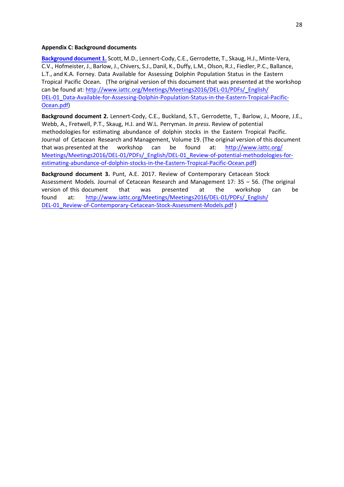#### <span id="page-28-1"></span><span id="page-28-0"></span>**Appendix C: Background documents**

**[Background document 1.](https://www.iattc.org/PDFFiles/SpecialReports/_English/No.23-2018_Data%20available%20for%20assessing%20dolphin%20population%20status%20in%20the%20ETP.pdf)** Scott, M.D., Lennert-Cody, C.E., Gerrodette, T., Skaug, H.J., Minte-Vera, C.V., Hofmeister, J., Barlow, J., Chivers, S.J., Danil, K., Duffy, L.M., Olson, R.J., Fiedler, P.C., Ballance, L.T., and K.A. Forney. Data Available for Assessing Dolphin Population Status in the Eastern Tropical Pacific Ocean. (The original version of this document that was presented at the workshop can be found at: [http://www.iattc.org/Meetings/Meetings2016/DEL-01/PDFs/\\_English/](http://www.iattc.org/Meetings/Meetings2016/DEL-01/PDFs/_English/DEL-01_Data-Available-for-Assessing-Dolphin-Population-Status-in-the-Eastern-Tropical-Pacific-Ocean.pdf) [DEL-01\\_Data-Available-for-Assessing-Dolphin-Population-Status-in-the-Eastern-Tropical-Pacific-](http://www.iattc.org/Meetings/Meetings2016/DEL-01/PDFs/_English/DEL-01_Data-Available-for-Assessing-Dolphin-Population-Status-in-the-Eastern-Tropical-Pacific-Ocean.pdf)Ocean.pdf)

**Background document 2.** Lennert-Cody, C.E., Buckland, S.T., Gerrodette, T., Barlow, J., Moore, J.E., Webb, A., Fretwell, P.T., Skaug, H.J. and W.L. Perryman. *In press*. Review of potential methodologies for estimating abundance of dolphin stocks in the Eastern Tropical Pacific. Journal of Cetacean Research and Management, Volume 19. (The original version of this document that was presented at the workshop can be found at: [http://www.iattc.org/](http://www.iattc.org/Meetings/Meetings2016/DEL-01/PDFs/_English/DEL-01_Review-of-potential-methodologies-for-estimating-abundance-of-dolphin-stocks-in-the-Eastern-Tropical-Pacific-Ocean.pdf) [Meetings/Meetings2016/DEL-01/PDFs/\\_English/DEL-01\\_Review-of-potential-methodologies-for](http://www.iattc.org/Meetings/Meetings2016/DEL-01/PDFs/_English/DEL-01_Review-of-potential-methodologies-for-estimating-abundance-of-dolphin-stocks-in-the-Eastern-Tropical-Pacific-Ocean.pdf)estimating-abundance-of-dolphin-stocks-in-the-Eastern-Tropical-Pacific-Ocean.pdf)

**Background document 3.** Punt, A.E. 2017. Review of Contemporary Cetacean Stock Assessment Models. Journal of Cetacean Research and Management 17: 35 – 56. (The original version of this document that was presented at the workshop can be found at: [http://www.iattc.org/Meetings/Meetings2016/DEL-01/PDFs/\\_English/](http://www.iattc.org/Meetings/Meetings2016/DEL-01/PDFs/_English/DEL-01_Review-of-Contemporary-Cetacean-Stock-Assessment-Models.pdf) [DEL-01\\_Review-of-Contemporary-Cetacean-Stock-Assessment-Models.pdf](http://www.iattc.org/Meetings/Meetings2016/DEL-01/PDFs/_English/DEL-01_Review-of-Contemporary-Cetacean-Stock-Assessment-Models.pdf) )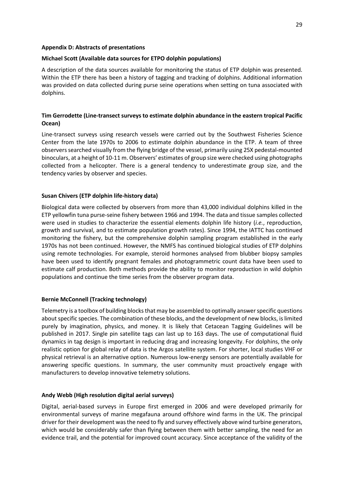### <span id="page-29-0"></span>**Appendix D: Abstracts of presentations**

## **Michael Scott (Available data sources for ETPO dolphin populations)**

A description of the data sources available for monitoring the status of ETP dolphin was presented. Within the ETP there has been a history of tagging and tracking of dolphins. Additional information was provided on data collected during purse seine operations when setting on tuna associated with dolphins.

# **Tim Gerrodette (Line-transect surveys to estimate dolphin abundance in the eastern tropical Pacific Ocean)**

Line-transect surveys using research vessels were carried out by the Southwest Fisheries Science Center from the late 1970s to 2006 to estimate dolphin abundance in the ETP. A team of three observers searched visually from the flying bridge of the vessel, primarily using 25X pedestal-mounted binoculars, at a height of 10-11 m. Observers' estimates of group size were checked using photographs collected from a helicopter. There is a general tendency to underestimate group size, and the tendency varies by observer and species.

### **Susan Chivers (ETP dolphin life-history data)**

Biological data were collected by observers from more than 43,000 individual dolphins killed in the ETP yellowfin tuna purse-seine fishery between 1966 and 1994. The data and tissue samples collected were used in studies to characterize the essential elements dolphin life history (*i.e.*, reproduction, growth and survival, and to estimate population growth rates). Since 1994, the IATTC has continued monitoring the fishery, but the comprehensive dolphin sampling program established in the early 1970s has not been continued. However, the NMFS has continued biological studies of ETP dolphins using remote technologies. For example, steroid hormones analysed from blubber biopsy samples have been used to identify pregnant females and photogrammetric count data have been used to estimate calf production. Both methods provide the ability to monitor reproduction in wild dolphin populations and continue the time series from the observer program data.

#### **Bernie McConnell (Tracking technology)**

Telemetry is a toolbox of building blocks that may be assembled to optimally answer specific questions about specific species. The combination of these blocks, and the development of new blocks, is limited purely by imagination, physics, and money. It is likely that Cetacean Tagging Guidelines will be published in 2017. Single pin satellite tags can last up to 163 days. The use of computational fluid dynamics in tag design is important in reducing drag and increasing longevity. For dolphins, the only realistic option for global relay of data is the Argos satellite system. For shorter, local studies VHF or physical retrieval is an alternative option. Numerous low-energy sensors are potentially available for answering specific questions. In summary, the user community must proactively engage with manufacturers to develop innovative telemetry solutions.

#### **Andy Webb (High resolution digital aerial surveys)**

Digital, aerial-based surveys in Europe first emerged in 2006 and were developed primarily for environmental surveys of marine megafauna around offshore wind farms in the UK. The principal driver for their development was the need to fly and survey effectively above wind turbine generators, which would be considerably safer than flying between them with better sampling, the need for an evidence trail, and the potential for improved count accuracy. Since acceptance of the validity of the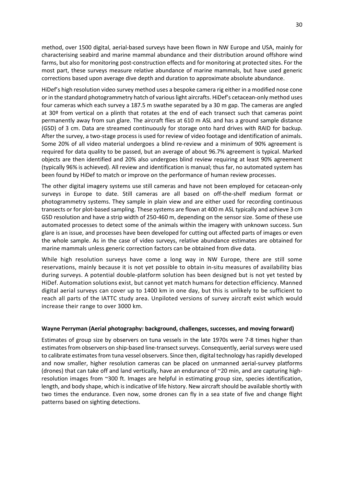method, over 1500 digital, aerial-based surveys have been flown in NW Europe and USA, mainly for characterising seabird and marine mammal abundance and their distribution around offshore wind farms, but also for monitoring post-construction effects and for monitoring at protected sites. For the most part, these surveys measure relative abundance of marine mammals, but have used generic corrections based upon average dive depth and duration to approximate absolute abundance.

HiDef's high resolution video survey method uses a bespoke camera rig either in a modified nose cone or in the standard photogrammetry hatch of various light aircrafts. HiDef's cetacean-only method uses four cameras which each survey a 187.5 m swathe separated by a 30 m gap. The cameras are angled at 30º from vertical on a plinth that rotates at the end of each transect such that cameras point permanently away from sun glare. The aircraft flies at 610 m ASL and has a ground sample distance (GSD) of 3 cm. Data are streamed continuously for storage onto hard drives with RAID for backup. After the survey, a two-stage process is used for review of video footage and identification of animals. Some 20% of all video material undergoes a blind re-review and a minimum of 90% agreement is required for data quality to be passed, but an average of about 96.7% agreement is typical. Marked objects are then identified and 20% also undergoes blind review requiring at least 90% agreement (typically 96% is achieved). All review and identification is manual; thus far, no automated system has been found by HiDef to match or improve on the performance of human review processes.

The other digital imagery systems use still cameras and have not been employed for cetacean-only surveys in Europe to date. Still cameras are all based on off-the-shelf medium format or photogrammetry systems. They sample in plain view and are either used for recording continuous transects or for plot-based sampling. These systems are flown at 400 m ASL typically and achieve 3 cm GSD resolution and have a strip width of 250-460 m, depending on the sensor size. Some of these use automated processes to detect some of the animals within the imagery with unknown success. Sun glare is an issue, and processes have been developed for cutting out affected parts of images or even the whole sample. As in the case of video surveys, relative abundance estimates are obtained for marine mammals unless generic correction factors can be obtained from dive data.

While high resolution surveys have come a long way in NW Europe, there are still some reservations, mainly because it is not yet possible to obtain in-situ measures of availability bias during surveys. A potential double-platform solution has been designed but is not yet tested by HiDef. Automation solutions exist, but cannot yet match humans for detection efficiency. Manned digital aerial surveys can cover up to 1400 km in one day, but this is unlikely to be sufficient to reach all parts of the IATTC study area. Unpiloted versions of survey aircraft exist which would increase their range to over 3000 km.

## **Wayne Perryman (Aerial photography: background, challenges, successes, and moving forward)**

Estimates of group size by observers on tuna vessels in the late 1970s were 7-8 times higher than estimates from observers on ship-based line-transect surveys. Consequently, aerial surveys were used to calibrate estimates from tuna vessel observers. Since then, digital technology has rapidly developed and now smaller, higher resolution cameras can be placed on unmanned aerial-survey platforms (drones) that can take off and land vertically, have an endurance of ~20 min, and are capturing highresolution images from ~300 ft. Images are helpful in estimating group size, species identification, length, and body shape, which is indicative of life history. New aircraft should be available shortly with two times the endurance. Even now, some drones can fly in a sea state of five and change flight patterns based on sighting detections.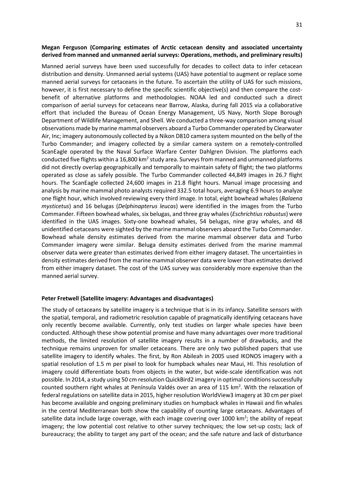## **Megan Ferguson (Comparing estimates of Arctic cetacean density and associated uncertainty derived from manned and unmanned aerial surveys: Operations, methods, and preliminary results)**

Manned aerial surveys have been used successfully for decades to collect data to infer cetacean distribution and density. Unmanned aerial systems (UAS) have potential to augment or replace some manned aerial surveys for cetaceans in the future. To ascertain the utility of UAS for such missions, however, it is first necessary to define the specific scientific objective(s) and then compare the costbenefit of alternative platforms and methodologies. NOAA led and conducted such a direct comparison of aerial surveys for cetaceans near Barrow, Alaska, during fall 2015 via a collaborative effort that included the Bureau of Ocean Energy Management, US Navy, North Slope Borough Department of Wildlife Management, and Shell. We conducted a three-way comparison among visual observations made by marine mammal observers aboard a Turbo Commander operated by Clearwater Air, Inc; imagery autonomously collected by a Nikon D810 camera system mounted on the belly of the Turbo Commander; and imagery collected by a similar camera system on a remotely-controlled ScanEagle operated by the Naval Surface Warfare Center Dahlgren Division. The platforms each conducted five flights within a 16,800 km<sup>2</sup> study area. Surveys from manned and unmanned platforms did not directly overlap geographically and temporally to maintain safety of flight; the two platforms operated as close as safely possible. The Turbo Commander collected 44,849 images in 26.7 flight hours. The ScanEagle collected 24,600 images in 21.8 flight hours. Manual image processing and analysis by marine mammal photo analysts required 332.5 total hours, averaging 6.9 hours to analyze one flight hour, which involved reviewing every third image. In total, eight bowhead whales (*Balaena mysticetus*) and 16 belugas (*Delphinapterus leucas*) were identified in the images from the Turbo Commander. Fifteen bowhead whales, six belugas, and three gray whales (*Eschrichtius robustus*) were identified in the UAS images. Sixty-one bowhead whales, 54 belugas, nine gray whales, and 48 unidentified cetaceans were sighted by the marine mammal observers aboard the Turbo Commander. Bowhead whale density estimates derived from the marine mammal observer data and Turbo Commander imagery were similar. Beluga density estimates derived from the marine mammal observer data were greater than estimates derived from either imagery dataset. The uncertainties in density estimates derived from the marine mammal observer data were lower than estimates derived from either imagery dataset. The cost of the UAS survey was considerably more expensive than the manned aerial survey.

## **Peter Fretwell (Satellite imagery: Advantages and disadvantages)**

The study of cetaceans by satellite imagery is a technique that is in its infancy. Satellite sensors with the spatial, temporal, and radiometric resolution capable of pragmatically identifying cetaceans have only recently become available. Currently, only test studies on larger whale species have been conducted. Although these show potential promise and have many advantages over more traditional methods, the limited resolution of satellite imagery results in a number of drawbacks, and the technique remains unproven for smaller cetaceans. There are only two published papers that use satellite imagery to identify whales. The first, by Ron Abileah in 2005 used IKONOS imagery with a spatial resolution of 1.5 m per pixel to look for humpback whales near Maui, HI. This resolution of imagery could differentiate boats from objects in the water, but wide-scale identification was not possible. In 2014, a study using 50 cm resolution QuickBird2 imagery in optimal conditions successfully counted southern right whales at Península Valdés over an area of 115 km<sup>2</sup>. With the relaxation of federal regulations on satellite data in 2015, higher resolution WorldView3 imagery at 30 cm per pixel has become available and ongoing preliminary studies on humpback whales in Hawaii and fin whales in the central Mediterranean both show the capability of counting large cetaceans. Advantages of satellite data include large coverage, with each image covering over 1000 km<sup>2</sup>; the ability of repeat imagery; the low potential cost relative to other survey techniques; the low set-up costs; lack of bureaucracy; the ability to target any part of the ocean; and the safe nature and lack of disturbance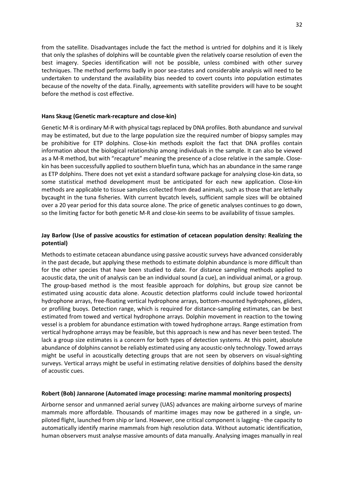from the satellite. Disadvantages include the fact the method is untried for dolphins and it is likely that only the splashes of dolphins will be countable given the relatively coarse resolution of even the best imagery. Species identification will not be possible, unless combined with other survey techniques. The method performs badly in poor sea-states and considerable analysis will need to be undertaken to understand the availability bias needed to covert counts into population estimates because of the novelty of the data. Finally, agreements with satellite providers will have to be sought before the method is cost effective.

### **Hans Skaug (Genetic mark-recapture and close-kin)**

Genetic M-R is ordinary M-R with physical tags replaced by DNA profiles. Both abundance and survival may be estimated, but due to the large population size the required number of biopsy samples may be prohibitive for ETP dolphins. Close-kin methods exploit the fact that DNA profiles contain information about the biological relationship among individuals in the sample. It can also be viewed as a M-R method, but with "recapture" meaning the presence of a close relative in the sample. Closekin has been successfully applied to southern bluefin tuna, which has an abundance in the same range as ETP dolphins. There does not yet exist a standard software package for analysing close-kin data, so some statistical method development must be anticipated for each new application. Close-kin methods are applicable to tissue samples collected from dead animals, such as those that are lethally bycaught in the tuna fisheries. With current bycatch levels, sufficient sample sizes will be obtained over a 20 year period for this data source alone. The price of genetic analyses continues to go down, so the limiting factor for both genetic M-R and close-kin seems to be availability of tissue samples.

# **Jay Barlow (Use of passive acoustics for estimation of cetacean population density: Realizing the potential)**

Methods to estimate cetacean abundance using passive acoustic surveys have advanced considerably in the past decade, but applying these methods to estimate dolphin abundance is more difficult than for the other species that have been studied to date. For distance sampling methods applied to acoustic data, the unit of analysis can be an individual sound (a cue), an individual animal, or a group. The group-based method is the most feasible approach for dolphins, but group size cannot be estimated using acoustic data alone. Acoustic detection platforms could include towed horizontal hydrophone arrays, free-floating vertical hydrophone arrays, bottom-mounted hydrophones, gliders, or profiling buoys. Detection range, which is required for distance-sampling estimates, can be best estimated from towed and vertical hydrophone arrays. Dolphin movement in reaction to the towing vessel is a problem for abundance estimation with towed hydrophone arrays. Range estimation from vertical hydrophone arrays may be feasible, but this approach is new and has never been tested. The lack a group size estimates is a concern for both types of detection systems. At this point, absolute abundance of dolphins cannot be reliably estimated using any acoustic-only technology. Towed arrays might be useful in acoustically detecting groups that are not seen by observers on visual-sighting surveys. Vertical arrays might be useful in estimating relative densities of dolphins based the density of acoustic cues.

## **Robert (Bob) Jannarone (Automated image processing: marine mammal monitoring prospects)**

Airborne sensor and unmanned aerial survey (UAS) advances are making airborne surveys of marine mammals more affordable. Thousands of maritime images may now be gathered in a single, unpiloted flight, launched from ship or land. However, one critical component is lagging - the capacity to automatically identify marine mammals from high resolution data. Without automatic identification, human observers must analyse massive amounts of data manually. Analysing images manually in real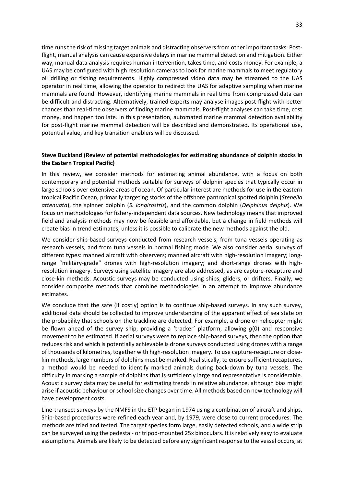time runs the risk of missing target animals and distracting observers from other important tasks. Postflight, manual analysis can cause expensive delays in marine mammal detection and mitigation. Either way, manual data analysis requires human intervention, takes time, and costs money. For example, a UAS may be configured with high resolution cameras to look for marine mammals to meet regulatory oil drilling or fishing requirements. Highly compressed video data may be streamed to the UAS operator in real time, allowing the operator to redirect the UAS for adaptive sampling when marine mammals are found. However, identifying marine mammals in real time from compressed data can be difficult and distracting. Alternatively, trained experts may analyse images post-flight with better chances than real-time observers of finding marine mammals. Post-flight analyses can take time, cost money, and happen too late. In this presentation, automated marine mammal detection availability for post-flight marine mammal detection will be described and demonstrated. Its operational use, potential value, and key transition enablers will be discussed.

# **Steve Buckland (Review of potential methodologies for estimating abundance of dolphin stocks in the Eastern Tropical Pacific)**

In this review, we consider methods for estimating animal abundance, with a focus on both contemporary and potential methods suitable for surveys of dolphin species that typically occur in large schools over extensive areas of ocean. Of particular interest are methods for use in the eastern tropical Pacific Ocean, primarily targeting stocks of the offshore pantropical spotted dolphin (*Stenella attenuata*), the spinner dolphin (*S. longirostris*), and the common dolphin (*Delphinus delphis*). We focus on methodologies for fishery-independent data sources. New technology means that improved field and analysis methods may now be feasible and affordable, but a change in field methods will create bias in trend estimates, unless it is possible to calibrate the new methods against the old.

We consider ship-based surveys conducted from research vessels, from tuna vessels operating as research vessels, and from tuna vessels in normal fishing mode. We also consider aerial surveys of different types: manned aircraft with observers; manned aircraft with high-resolution imagery; longrange "military-grade" drones with high-resolution imagery; and short-range drones with highresolution imagery. Surveys using satellite imagery are also addressed, as are capture-recapture and close-kin methods. Acoustic surveys may be conducted using ships, gliders, or drifters. Finally, we consider composite methods that combine methodologies in an attempt to improve abundance estimates.

We conclude that the safe (if costly) option is to continue ship-based surveys. In any such survey, additional data should be collected to improve understanding of the apparent effect of sea state on the probability that schools on the trackline are detected. For example, a drone or helicopter might be flown ahead of the survey ship, providing a 'tracker' platform, allowing *g*(0) and responsive movement to be estimated. If aerial surveys were to replace ship-based surveys, then the option that reduces risk and which is potentially achievable is drone surveys conducted using drones with a range of thousands of kilometres, together with high-resolution imagery. To use capture-recapture or closekin methods, large numbers of dolphins must be marked. Realistically, to ensure sufficient recaptures, a method would be needed to identify marked animals during back-down by tuna vessels. The difficulty in marking a sample of dolphins that is sufficiently large and representative is considerable. Acoustic survey data may be useful for estimating trends in relative abundance, although bias might arise if acoustic behaviour or school size changes over time. All methods based on new technology will have development costs.

Line-transect surveys by the NMFS in the ETP began in 1974 using a combination of aircraft and ships. Ship-based procedures were refined each year and, by 1979, were close to current procedures. The methods are tried and tested. The target species form large, easily detected schools, and a wide strip can be surveyed using the pedestal- or tripod-mounted 25x binoculars. It is relatively easy to evaluate assumptions. Animals are likely to be detected before any significant response to the vessel occurs, at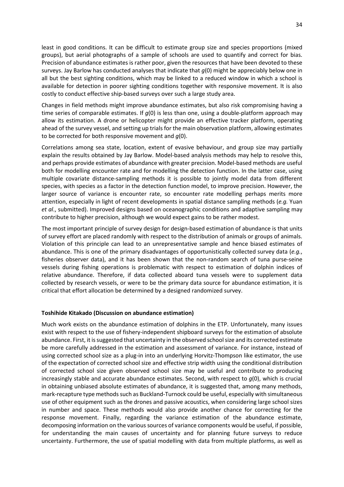least in good conditions. It can be difficult to estimate group size and species proportions (mixed groups), but aerial photographs of a sample of schools are used to quantify and correct for bias. Precision of abundance estimates is rather poor, given the resources that have been devoted to these surveys. Jay Barlow has conducted analyses that indicate that *g*(0) might be appreciably below one in all but the best sighting conditions, which may be linked to a reduced window in which a school is available for detection in poorer sighting conditions together with responsive movement. It is also costly to conduct effective ship-based surveys over such a large study area.

Changes in field methods might improve abundance estimates, but also risk compromising having a time series of comparable estimates. If *g*(0) is less than one, using a double-platform approach may allow its estimation. A drone or helicopter might provide an effective tracker platform, operating ahead of the survey vessel, and setting up trials for the main observation platform, allowing estimates to be corrected for both responsive movement and *g*(0).

Correlations among sea state, location, extent of evasive behaviour, and group size may partially explain the results obtained by Jay Barlow. Model-based analysis methods may help to resolve this, and perhaps provide estimates of abundance with greater precision. Model-based methods are useful both for modelling encounter rate and for modelling the detection function. In the latter case, using multiple covariate distance-sampling methods it is possible to jointly model data from different species, with species as a factor in the detection function model, to improve precision. However, the larger source of variance is encounter rate, so encounter rate modelling perhaps merits more attention, especially in light of recent developments in spatial distance sampling methods (*e.g.* Yuan *et al*., submitted). Improved designs based on oceanographic conditions and adaptive sampling may contribute to higher precision, although we would expect gains to be rather modest.

The most important principle of survey design for design-based estimation of abundance is that units of survey effort are placed randomly with respect to the distribution of animals or groups of animals. Violation of this principle can lead to an unrepresentative sample and hence biased estimates of abundance. This is one of the primary disadvantages of opportunistically collected survey data (*e.g.*, fisheries observer data), and it has been shown that the non-random search of tuna purse-seine vessels during fishing operations is problematic with respect to estimation of dolphin indices of relative abundance. Therefore, if data collected aboard tuna vessels were to supplement data collected by research vessels, or were to be the primary data source for abundance estimation, it is critical that effort allocation be determined by a designed randomized survey.

## **Toshihide Kitakado (Discussion on abundance estimation)**

Much work exists on the abundance estimation of dolphins in the ETP. Unfortunately, many issues exist with respect to the use of fishery-independent shipboard surveys for the estimation of absolute abundance. First, it is suggested that uncertainty in the observed school size and its corrected estimate be more carefully addressed in the estimation and assessment of variance. For instance, instead of using corrected school size as a plug-in into an underlying Horvitz-Thompson like estimator, the use of the expectation of corrected school size and effective strip width using the conditional distribution of corrected school size given observed school size may be useful and contribute to producing increasingly stable and accurate abundance estimates. Second, with respect to *g*(0), which is crucial in obtaining unbiased absolute estimates of abundance, it is suggested that, among many methods, mark-recapture type methods such as Buckland-Turnock could be useful, especially with simultaneous use of other equipment such as the drones and passive acoustics, when considering large school sizes in number and space. These methods would also provide another chance for correcting for the response movement. Finally, regarding the variance estimation of the abundance estimate, decomposing information on the various sources of variance components would be useful, if possible, for understanding the main causes of uncertainty and for planning future surveys to reduce uncertainty. Furthermore, the use of spatial modelling with data from multiple platforms, as well as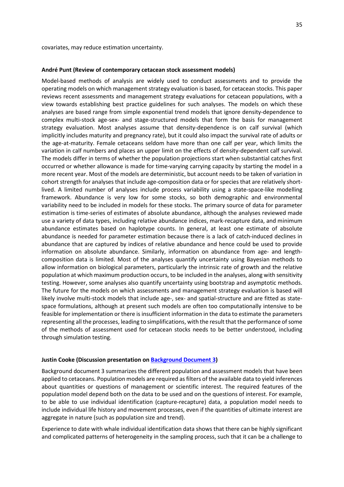covariates, may reduce estimation uncertainty.

#### **André Punt (Review of contemporary cetacean stock assessment models)**

Model-based methods of analysis are widely used to conduct assessments and to provide the operating models on which management strategy evaluation is based, for cetacean stocks. This paper reviews recent assessments and management strategy evaluations for cetacean populations, with a view towards establishing best practice guidelines for such analyses. The models on which these analyses are based range from simple exponential trend models that ignore density-dependence to complex multi-stock age-sex- and stage-structured models that form the basis for management strategy evaluation. Most analyses assume that density-dependence is on calf survival (which implicitly includes maturity and pregnancy rate), but it could also impact the survival rate of adults or the age-at-maturity. Female cetaceans seldom have more than one calf per year, which limits the variation in calf numbers and places an upper limit on the effects of density-dependent calf survival. The models differ in terms of whether the population projections start when substantial catches first occurred or whether allowance is made for time-varying carrying capacity by starting the model in a more recent year. Most of the models are deterministic, but account needs to be taken of variation in cohort strength for analyses that include age-composition data or for species that are relatively shortlived. A limited number of analyses include process variability using a state-space-like modelling framework. Abundance is very low for some stocks, so both demographic and environmental variability need to be included in models for these stocks. The primary source of data for parameter estimation is time-series of estimates of absolute abundance, although the analyses reviewed made use a variety of data types, including relative abundance indices, mark-recapture data, and minimum abundance estimates based on haplotype counts. In general, at least one estimate of absolute abundance is needed for parameter estimation because there is a lack of catch-induced declines in abundance that are captured by indices of relative abundance and hence could be used to provide information on absolute abundance. Similarly, information on abundance from age- and lengthcomposition data is limited. Most of the analyses quantify uncertainty using Bayesian methods to allow information on biological parameters, particularly the intrinsic rate of growth and the relative population at which maximum production occurs, to be included in the analyses, along with sensitivity testing. However, some analyses also quantify uncertainty using bootstrap and asymptotic methods. The future for the models on which assessments and management strategy evaluation is based will likely involve multi-stock models that include age-, sex- and spatial-structure and are fitted as statespace formulations, although at present such models are often too computationally intensive to be feasible for implementation or there is insufficient information in the data to estimate the parameters representing all the processes, leading to simplifications, with the result that the performance of some of the methods of assessment used for cetacean stocks needs to be better understood, including through simulation testing.

#### **Justin Cooke (Discussion presentation on [Background Document 3\)](#page-28-1)**

Background document 3 summarizes the different population and assessment models that have been applied to cetaceans. Population models are required as filters of the available data to yield inferences about quantities or questions of management or scientific interest. The required features of the population model depend both on the data to be used and on the questions of interest. For example, to be able to use individual identification (capture-recapture) data, a population model needs to include individual life history and movement processes, even if the quantities of ultimate interest are aggregate in nature (such as population size and trend).

Experience to date with whale individual identification data shows that there can be highly significant and complicated patterns of heterogeneity in the sampling process, such that it can be a challenge to